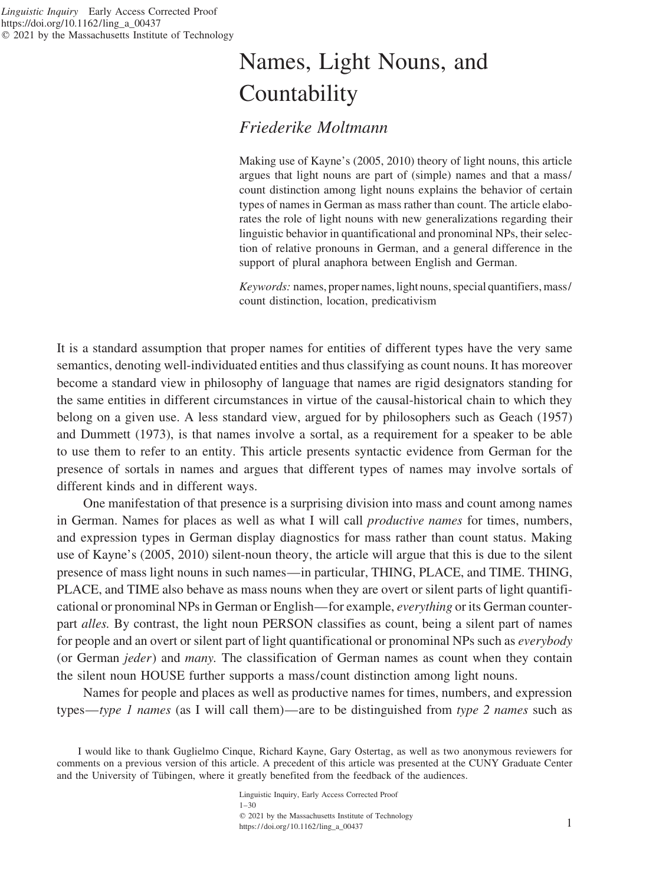# Names, Light Nouns, and **Countability**

## *Friederike Moltmann*

Making use of Kayne's (2005, 2010) theory of light nouns, this article argues that light nouns are part of (simple) names and that a mass/ count distinction among light nouns explains the behavior of certain types of names in German as mass rather than count. The article elaborates the role of light nouns with new generalizations regarding their linguistic behavior in quantificational and pronominal NPs, their selection of relative pronouns in German, and a general difference in the support of plural anaphora between English and German.

*Keywords:* names, proper names, light nouns, special quantifiers, mass/ count distinction, location, predicativism

It is a standard assumption that proper names for entities of different types have the very same semantics, denoting well-individuated entities and thus classifying as count nouns. It has moreover become a standard view in philosophy of language that names are rigid designators standing for the same entities in different circumstances in virtue of the causal-historical chain to which they belong on a given use. A less standard view, argued for by philosophers such as Geach (1957) and Dummett (1973), is that names involve a sortal, as a requirement for a speaker to be able to use them to refer to an entity. This article presents syntactic evidence from German for the presence of sortals in names and argues that different types of names may involve sortals of different kinds and in different ways.

One manifestation of that presence is a surprising division into mass and count among names in German. Names for places as well as what I will call *productive names* for times, numbers, and expression types in German display diagnostics for mass rather than count status. Making use of Kayne's (2005, 2010) silent-noun theory, the article will argue that this is due to the silent presence of mass light nouns in such names—in particular, THING, PLACE, and TIME. THING, PLACE, and TIME also behave as mass nouns when they are overt or silent parts of light quantificational or pronominal NPs in German or English—for example, *everything* or its German counterpart *alles.* By contrast, the light noun PERSON classifies as count, being a silent part of names for people and an overt or silent part of light quantificational or pronominal NPs such as *everybody* (or German *jeder*) and *many.* The classification of German names as count when they contain the silent noun HOUSE further supports a mass/count distinction among light nouns.

Names for people and places as well as productive names for times, numbers, and expression types—*type 1 names* (as I will call them)—are to be distinguished from *type 2 names* such as

I would like to thank Guglielmo Cinque, Richard Kayne, Gary Ostertag, as well as two anonymous reviewers for comments on a previous version of this article. A precedent of this article was presented at the CUNY Graduate Center and the University of Tübingen, where it greatly benefited from the feedback of the audiences.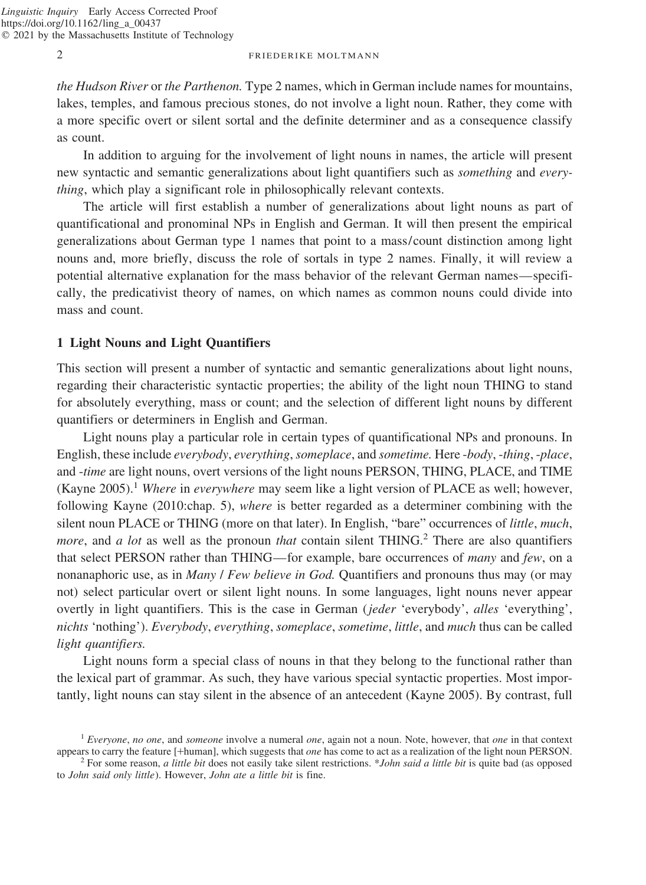*the Hudson River* or *the Parthenon.* Type 2 names, which in German include names for mountains, lakes, temples, and famous precious stones, do not involve a light noun. Rather, they come with a more specific overt or silent sortal and the definite determiner and as a consequence classify as count.

In addition to arguing for the involvement of light nouns in names, the article will present new syntactic and semantic generalizations about light quantifiers such as *something* and *everything*, which play a significant role in philosophically relevant contexts.

The article will first establish a number of generalizations about light nouns as part of quantificational and pronominal NPs in English and German. It will then present the empirical generalizations about German type 1 names that point to a mass/count distinction among light nouns and, more briefly, discuss the role of sortals in type 2 names. Finally, it will review a potential alternative explanation for the mass behavior of the relevant German names—specifically, the predicativist theory of names, on which names as common nouns could divide into mass and count.

## **1 Light Nouns and Light Quantifiers**

This section will present a number of syntactic and semantic generalizations about light nouns, regarding their characteristic syntactic properties; the ability of the light noun THING to stand for absolutely everything, mass or count; and the selection of different light nouns by different quantifiers or determiners in English and German.

Light nouns play a particular role in certain types of quantificational NPs and pronouns. In English, these include *everybody*, *everything*,*someplace*, and *sometime.* Here -*body*, -*thing*, -*place*, and -*time* are light nouns, overt versions of the light nouns PERSON, THING, PLACE, and TIME (Kayne 2005).<sup>1</sup> *Where* in *everywhere* may seem like a light version of PLACE as well; however, following Kayne (2010:chap. 5), *where* is better regarded as a determiner combining with the silent noun PLACE or THING (more on that later). In English, "bare" occurrences of *little*, *much*, *more*, and *a lot* as well as the pronoun *that* contain silent THING.<sup>2</sup> There are also quantifiers that select PERSON rather than THING—for example, bare occurrences of *many* and *few*, on a nonanaphoric use, as in *Many* / *Few believe in God.* Quantifiers and pronouns thus may (or may not) select particular overt or silent light nouns. In some languages, light nouns never appear overtly in light quantifiers. This is the case in German (*jeder* 'everybody', *alles* 'everything', *nichts* 'nothing'). *Everybody*, *everything*, *someplace*, *sometime*, *little*, and *much* thus can be called *light quantifiers.*

Light nouns form a special class of nouns in that they belong to the functional rather than the lexical part of grammar. As such, they have various special syntactic properties. Most importantly, light nouns can stay silent in the absence of an antecedent (Kayne 2005). By contrast, full

<sup>&</sup>lt;sup>1</sup> *Everyone, no one, and someone* involve a numeral *one*, again not a noun. Note, however, that *one* in that context appears to carry the feature [+human], which suggests that *one* has come to act as a realization of

 $2$  For some reason, *a little bit* does not easily take silent restrictions. *\*John said a little bit* is quite bad (as opposed to *John said only little*). However, *John ate a little bit* is fine.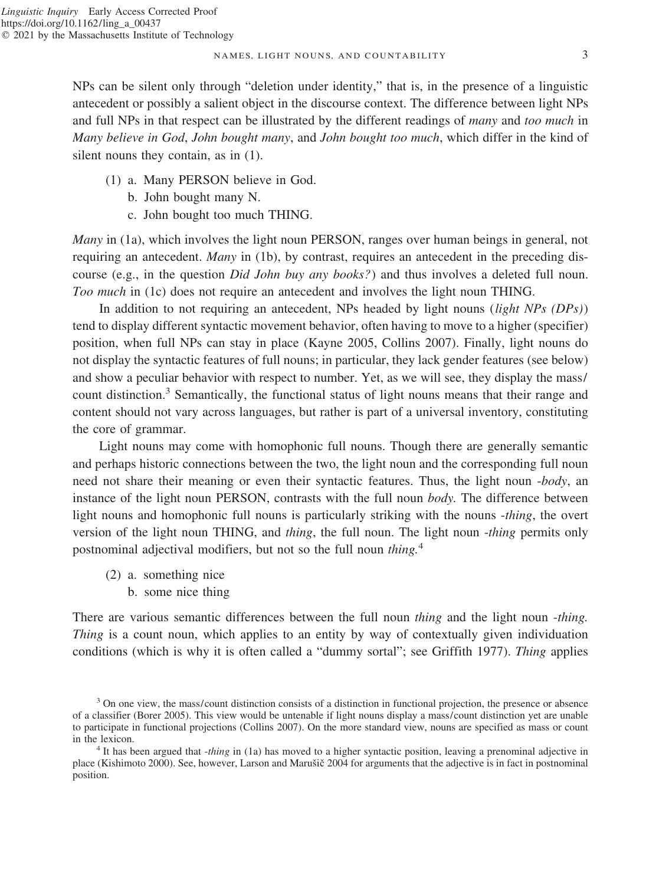#### NAMES, LIGHT NOUNS, AND COUNTABILITY 3

NPs can be silent only through "deletion under identity," that is, in the presence of a linguistic antecedent or possibly a salient object in the discourse context. The difference between light NPs and full NPs in that respect can be illustrated by the different readings of *many* and *too much* in *Many believe in God*, *John bought many*, and *John bought too much*, which differ in the kind of silent nouns they contain, as in (1).

- (1) a. Many PERSON believe in God.
	- b. John bought many N.
	- c. John bought too much THING.

*Many* in (1a), which involves the light noun PERSON, ranges over human beings in general, not requiring an antecedent. *Many* in (1b), by contrast, requires an antecedent in the preceding discourse (e.g., in the question *Did John buy any books?*) and thus involves a deleted full noun. *Too much* in (1c) does not require an antecedent and involves the light noun THING.

In addition to not requiring an antecedent, NPs headed by light nouns (*light NPs (DPs)*) tend to display different syntactic movement behavior, often having to move to a higher (specifier) position, when full NPs can stay in place (Kayne 2005, Collins 2007). Finally, light nouns do not display the syntactic features of full nouns; in particular, they lack gender features (see below) and show a peculiar behavior with respect to number. Yet, as we will see, they display the mass/ count distinction.<sup>3</sup> Semantically, the functional status of light nouns means that their range and content should not vary across languages, but rather is part of a universal inventory, constituting the core of grammar.

Light nouns may come with homophonic full nouns. Though there are generally semantic and perhaps historic connections between the two, the light noun and the corresponding full noun need not share their meaning or even their syntactic features. Thus, the light noun -*body*, an instance of the light noun PERSON, contrasts with the full noun *body.* The difference between light nouns and homophonic full nouns is particularly striking with the nouns -*thing*, the overt version of the light noun THING, and *thing*, the full noun. The light noun -*thing* permits only postnominal adjectival modifiers, but not so the full noun *thing.*<sup>4</sup>

- (2) a. something nice
	- b. some nice thing

There are various semantic differences between the full noun *thing* and the light noun -*thing. Thing* is a count noun, which applies to an entity by way of contextually given individuation conditions (which is why it is often called a "dummy sortal"; see Griffith 1977). *Thing* applies

<sup>&</sup>lt;sup>3</sup> On one view, the mass/count distinction consists of a distinction in functional projection, the presence or absence of a classifier (Borer 2005). This view would be untenable if light nouns display a mass/count distinction yet are unable to participate in functional projections (Collins 2007). On the more standard view, nouns are specified as mass or count in the lexicon. <sup>4</sup> It has been argued that -*thing* in (1a) has moved to a higher syntactic position, leaving a prenominal adjective in

place (Kishimoto 2000). See, however, Larson and Marušič 2004 for arguments that the adjective is in fact in postnominal position.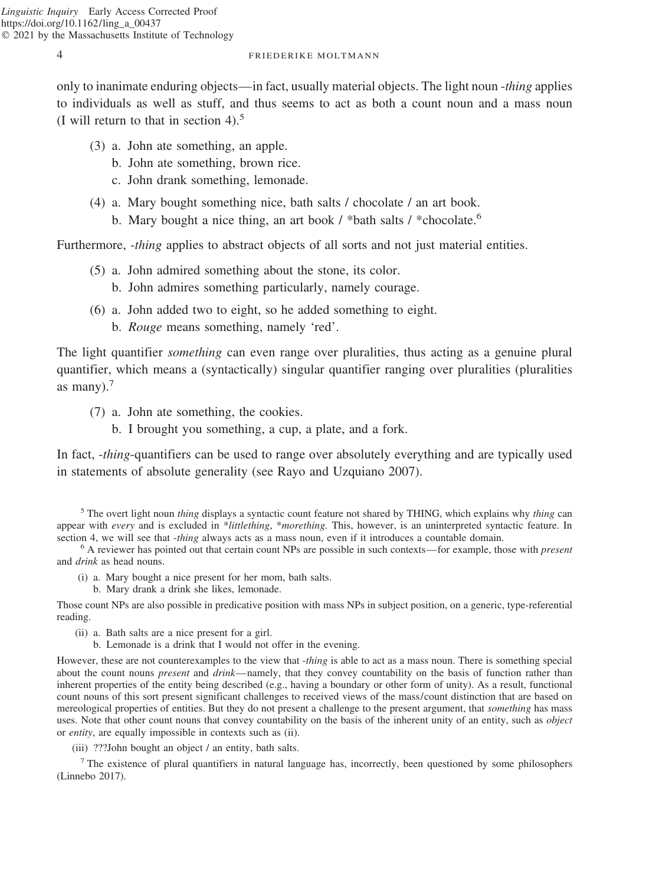only to inanimate enduring objects—in fact, usually material objects. The light noun -*thing* applies to individuals as well as stuff, and thus seems to act as both a count noun and a mass noun (I will return to that in section  $4$ ).<sup>5</sup>

- (3) a. John ate something, an apple.
	- b. John ate something, brown rice.
	- c. John drank something, lemonade.
- (4) a. Mary bought something nice, bath salts / chocolate / an art book.
	- b. Mary bought a nice thing, an art book / \*bath salts / \*chocolate.<sup>6</sup>

Furthermore, *-thing* applies to abstract objects of all sorts and not just material entities.

- (5) a. John admired something about the stone, its color.
	- b. John admires something particularly, namely courage.
- (6) a. John added two to eight, so he added something to eight.
	- b. *Rouge* means something, namely 'red'.

The light quantifier *something* can even range over pluralities, thus acting as a genuine plural quantifier, which means a (syntactically) singular quantifier ranging over pluralities (pluralities as many $)^{7}$ 

- (7) a. John ate something, the cookies.
	- b. I brought you something, a cup, a plate, and a fork.

In fact, -*thing*-quantifiers can be used to range over absolutely everything and are typically used in statements of absolute generality (see Rayo and Uzquiano 2007).

<sup>5</sup> The overt light noun *thing* displays a syntactic count feature not shared by THING, which explains why *thing* can appear with *every* and is excluded in \**littlething*, \**morething*. This, however, is an uninterpreted syntactic feature. In section 4, we will see that *-thing* always acts as a mass noun, even if it introduces a countab

<sup>6</sup> A reviewer has pointed out that certain count NPs are possible in such contexts—for example, those with *present* and *drink* as head nouns.

- (i) a. Mary bought a nice present for her mom, bath salts.
	- b. Mary drank a drink she likes, lemonade.

Those count NPs are also possible in predicative position with mass NPs in subject position, on a generic, type-referential reading.

- (ii) a. Bath salts are a nice present for a girl.
	- b. Lemonade is a drink that I would not offer in the evening.

However, these are not counterexamples to the view that -*thing* is able to act as a mass noun. There is something special about the count nouns *present* and *drink*—namely, that they convey countability on the basis of function rather than inherent properties of the entity being described (e.g., having a boundary or other form of unity). As a result, functional count nouns of this sort present significant challenges to received views of the mass/count distinction that are based on mereological properties of entities. But they do not present a challenge to the present argument, that *something* has mass uses. Note that other count nouns that convey countability on the basis of the inherent unity of an entity, such as *object* or *entity*, are equally impossible in contexts such as (ii).

(iii) ???John bought an object / an entity, bath salts.

<sup>7</sup> The existence of plural quantifiers in natural language has, incorrectly, been questioned by some philosophers (Linnebo 2017).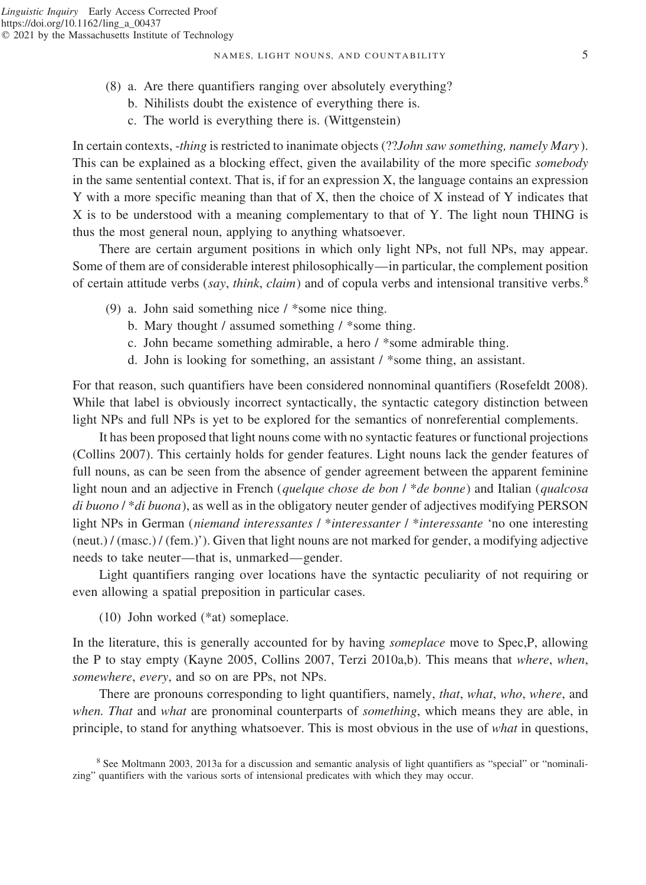- (8) a. Are there quantifiers ranging over absolutely everything?
	- b. Nihilists doubt the existence of everything there is.
	- c. The world is everything there is. (Wittgenstein)

In certain contexts, -*thing* is restricted to inanimate objects (??*John saw something, namely Mary*). This can be explained as a blocking effect, given the availability of the more specific *somebody* in the same sentential context. That is, if for an expression X, the language contains an expression Y with a more specific meaning than that of X, then the choice of X instead of Y indicates that X is to be understood with a meaning complementary to that of Y. The light noun THING is thus the most general noun, applying to anything whatsoever.

There are certain argument positions in which only light NPs, not full NPs, may appear. Some of them are of considerable interest philosophically—in particular, the complement position of certain attitude verbs (*say*, *think*, *claim*) and of copula verbs and intensional transitive verbs.<sup>8</sup>

- (9) a. John said something nice / \*some nice thing.
	- b. Mary thought / assumed something / \*some thing.
	- c. John became something admirable, a hero / \*some admirable thing.
	- d. John is looking for something, an assistant / \*some thing, an assistant.

For that reason, such quantifiers have been considered nonnominal quantifiers (Rosefeldt 2008). While that label is obviously incorrect syntactically, the syntactic category distinction between light NPs and full NPs is yet to be explored for the semantics of nonreferential complements.

It has been proposed that light nouns come with no syntactic features or functional projections (Collins 2007). This certainly holds for gender features. Light nouns lack the gender features of full nouns, as can be seen from the absence of gender agreement between the apparent feminine light noun and an adjective in French (*quelque chose de bon* / \**de bonne*) and Italian (*qualcosa di buono* / \**di buona*), as well as in the obligatory neuter gender of adjectives modifying PERSON light NPs in German (*niemand interessantes* / \**interessanter* / \**interessante* 'no one interesting (neut.) / (masc.) / (fem.)'). Given that light nouns are not marked for gender, a modifying adjective needs to take neuter—that is, unmarked—gender.

Light quantifiers ranging over locations have the syntactic peculiarity of not requiring or even allowing a spatial preposition in particular cases.

(10) John worked (\*at) someplace.

In the literature, this is generally accounted for by having *someplace* move to Spec,P, allowing the P to stay empty (Kayne 2005, Collins 2007, Terzi 2010a,b). This means that *where*, *when*, *somewhere*, *every*, and so on are PPs, not NPs.

There are pronouns corresponding to light quantifiers, namely, *that*, *what*, *who*, *where*, and *when. That* and *what* are pronominal counterparts of *something*, which means they are able, in principle, to stand for anything whatsoever. This is most obvious in the use of *what* in questions,

<sup>8</sup> See Moltmann 2003, 2013a for a discussion and semantic analysis of light quantifiers as "special" or "nominalizing" quantifiers with the various sorts of intensional predicates with which they may occur.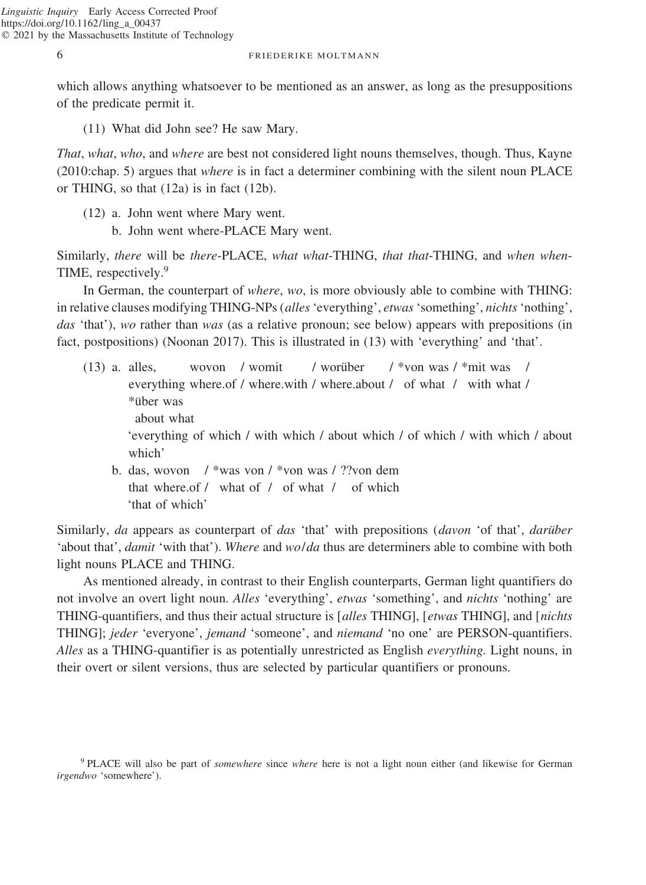which allows anything whatsoever to be mentioned as an answer, as long as the presuppositions of the predicate permit it.

(11) What did John see? He saw Mary.

*That*, *what*, *who*, and *where* are best not considered light nouns themselves, though. Thus, Kayne (2010:chap. 5) argues that *where* is in fact a determiner combining with the silent noun PLACE or THING, so that (12a) is in fact (12b).

- (12) a. John went where Mary went.
	- b. John went where-PLACE Mary went.

Similarly, *there* will be *there*-PLACE, *what what*-THING, *that that*-THING, and *when when*-TIME, respectively.<sup>9</sup>

In German, the counterpart of *where*, *wo*, is more obviously able to combine with THING: in relative clauses modifying THING-NPs (*alles*'everything', *etwas*'something', *nichts*'nothing', *das* 'that'), *wo* rather than *was* (as a relative pronoun; see below) appears with prepositions (in fact, postpositions) (Noonan 2017). This is illustrated in (13) with 'everything' and 'that'.

- (13) a. alles, wovon / womit / worüber / \*von was / \*mit was / everything where.of / where.with / where.about / of what / with what / \*u¨ber was about what 'everything of which / with which / about which / of which / with which / about which' b. das, wovon / \*was von / \*von was / ??von dem
	- that where.of / what of / of what / of which 'that of which'

Similarly, *da* appears as counterpart of *das* 'that' with prepositions (*davon* 'of that', *darüber* 'about that', *damit* 'with that'). *Where* and *wo*/*da* thus are determiners able to combine with both light nouns PLACE and THING.

As mentioned already, in contrast to their English counterparts, German light quantifiers do not involve an overt light noun. *Alles* 'everything', *etwas* 'something', and *nichts* 'nothing' are THING-quantifiers, and thus their actual structure is [*alles* THING], [*etwas* THING], and [*nichts* THING]; *jeder* 'everyone', *jemand* 'someone', and *niemand* 'no one' are PERSON-quantifiers. *Alles* as a THING-quantifier is as potentially unrestricted as English *everything.* Light nouns, in their overt or silent versions, thus are selected by particular quantifiers or pronouns.

<sup>9</sup> PLACE will also be part of *somewhere* since *where* here is not a light noun either (and likewise for German *irgendwo* 'somewhere').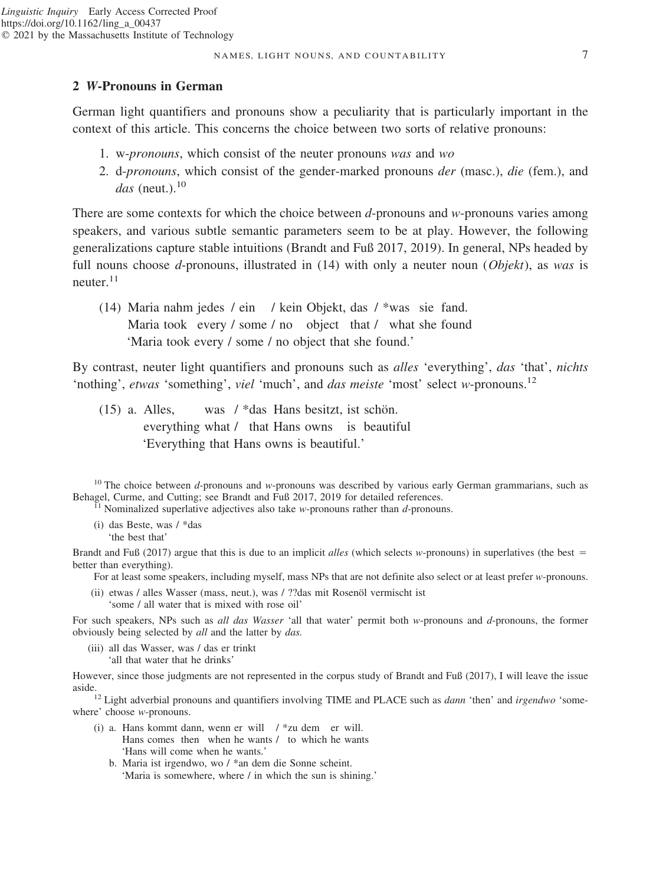## **2** *W***-Pronouns in German**

German light quantifiers and pronouns show a peculiarity that is particularly important in the context of this article. This concerns the choice between two sorts of relative pronouns:

- 1. w-*pronouns*, which consist of the neuter pronouns *was* and *wo*
- 2. d-*pronouns*, which consist of the gender-marked pronouns *der* (masc.), *die* (fem.), and *das* (neut.).<sup>10</sup>

There are some contexts for which the choice between *d*-pronouns and *w*-pronouns varies among speakers, and various subtle semantic parameters seem to be at play. However, the following generalizations capture stable intuitions (Brandt and Fuß 2017, 2019). In general, NPs headed by full nouns choose *d*-pronouns, illustrated in (14) with only a neuter noun (*Objekt*), as *was* is neuter.<sup>11</sup>

(14) Maria nahm jedes / ein / kein Objekt, das / \*was sie fand. Maria took every / some / no object that / what she found 'Maria took every / some / no object that she found.'

By contrast, neuter light quantifiers and pronouns such as *alles* 'everything', *das* 'that', *nichts* 'nothing', *etwas* 'something', *viel* 'much', and *das meiste* 'most' select *w*-pronouns.12

 $(15)$  a. Alles, was / \*das Hans besitzt, ist schön. everything what / that Hans owns is beautiful 'Everything that Hans owns is beautiful.'

<sup>10</sup> The choice between *d*-pronouns and *w*-pronouns was described by various early German grammarians, such as Behagel, Curme, and Cutting; see Brandt and Fuß 2017, 2019 for detailed references.

 $\overline{P}^{1}$  Nominalized superlative adjectives also take *w*-pronouns rather than *d*-pronouns.

(i) das Beste, was / \*das 'the best that'

Brandt and Fuß (2017) argue that this is due to an implicit *alles* (which selects *w*-pronouns) in superlatives (the best better than everything).

For at least some speakers, including myself, mass NPs that are not definite also select or at least prefer *w*-pronouns.

(ii) etwas / alles Wasser (mass, neut.), was / ??das mit Rosenöl vermischt ist 'some / all water that is mixed with rose oil'

For such speakers, NPs such as *all das Wasser* 'all that water' permit both *w*-pronouns and *d*-pronouns, the former obviously being selected by *all* and the latter by *das.*

(iii) all das Wasser, was / das er trinkt 'all that water that he drinks'

However, since those judgments are not represented in the corpus study of Brandt and Fuß (2017), I will leave the issue

aside.<sup>12</sup> Light adverbial pronouns and quantifiers involving TIME and PLACE such as *dann* 'then' and *irgendwo* 'somewhere' choose *w*-pronouns.

- (i) a. Hans kommt dann, wenn er will / \*zu dem er will. Hans comes then when he wants / to which he wants 'Hans will come when he wants.'
	- b. Maria ist irgendwo, wo / \*an dem die Sonne scheint. 'Maria is somewhere, where / in which the sun is shining.'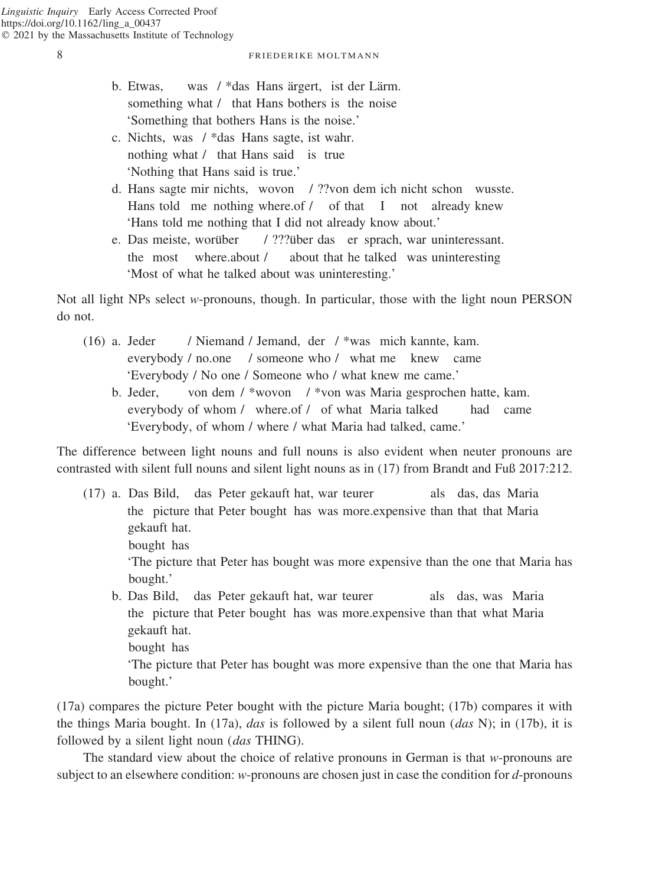bought.'

### 8 FRIEDERIKE MOLTMANN

- b. Etwas, was  $/$ \*das Hans ärgert, ist der Lärm. something what / that Hans bothers is the noise 'Something that bothers Hans is the noise.'
- c. Nichts, was / \*das Hans sagte, ist wahr. nothing what / that Hans said is true 'Nothing that Hans said is true.'
- d. Hans sagte mir nichts, wovon / ??von dem ich nicht schon wusste. Hans told me nothing where.of / of that I not already knew 'Hans told me nothing that I did not already know about.'
- e. Das meiste, worüber / ???über das er sprach, war uninteressant. the most where.about / about that he talked was uninteresting 'Most of what he talked about was uninteresting.'

Not all light NPs select *w*-pronouns, though. In particular, those with the light noun PERSON do not.

- (16) a. Jeder / Niemand / Jemand, der / \*was mich kannte, kam. everybody / no.one / someone who / what me knew came 'Everybody / No one / Someone who / what knew me came.'
	- b. Jeder, von dem / \*wovon / \*von was Maria gesprochen hatte, kam. everybody of whom / where.of / of what Maria talked had came 'Everybody, of whom / where / what Maria had talked, came.'

The difference between light nouns and full nouns is also evident when neuter pronouns are contrasted with silent full nouns and silent light nouns as in (17) from Brandt and Fuß 2017:212.

(17) a. Das Bild, das Peter gekauft hat, war teurer als das, das Maria the picture that Peter bought has was more.expensive than that that Maria gekauft hat. bought has 'The picture that Peter has bought was more expensive than the one that Maria has bought.' b. Das Bild, das Peter gekauft hat, war teurer als das, was Maria the picture that Peter bought has was more.expensive than that what Maria gekauft hat. bought has 'The picture that Peter has bought was more expensive than the one that Maria has

(17a) compares the picture Peter bought with the picture Maria bought; (17b) compares it with the things Maria bought. In (17a), *das* is followed by a silent full noun (*das* N); in (17b), it is followed by a silent light noun (*das* THING).

The standard view about the choice of relative pronouns in German is that *w*-pronouns are subject to an elsewhere condition: *w*-pronouns are chosen just in case the condition for *d*-pronouns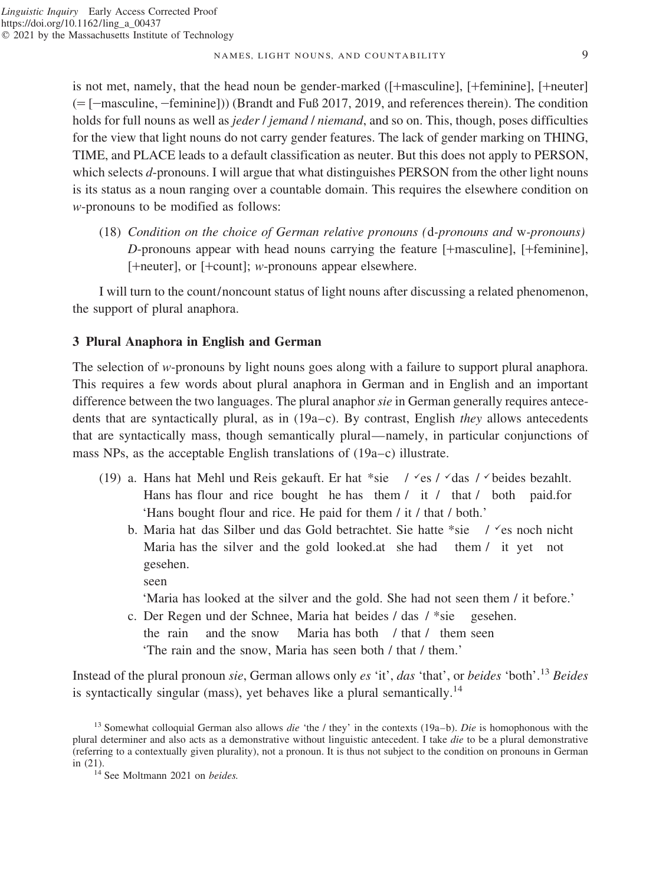### NAMES, LIGHT NOUNS, AND COUNTABILITY 9

is not met, namely, that the head noun be gender-marked ([+masculine], [+feminine], [+neuter]  $(=[-$ masculine,  $[-$ feminine])) (Brandt and Fuß 2017, 2019, and references therein). The condition holds for full nouns as well as *jeder* / *jemand* / *niemand*, and so on. This, though, poses difficulties for the view that light nouns do not carry gender features. The lack of gender marking on THING, TIME, and PLACE leads to a default classification as neuter. But this does not apply to PERSON, which selects *d*-pronouns. I will argue that what distinguishes PERSON from the other light nouns is its status as a noun ranging over a countable domain. This requires the elsewhere condition on *w*-pronouns to be modified as follows:

(18) *Condition on the choice of German relative pronouns (*d*-pronouns and* w*-pronouns) D*-pronouns appear with head nouns carrying the feature [+masculine], [+feminine], [+neuter], or [+count]; *w*-pronouns appear elsewhere.

I will turn to the count/noncount status of light nouns after discussing a related phenomenon, the support of plural anaphora.

## **3 Plural Anaphora in English and German**

The selection of *w*-pronouns by light nouns goes along with a failure to support plural anaphora. This requires a few words about plural anaphora in German and in English and an important difference between the two languages. The plural anaphor *sie* in German generally requires antecedents that are syntactically plural, as in (19a–c). By contrast, English *they* allows antecedents that are syntactically mass, though semantically plural—namely, in particular conjunctions of mass NPs, as the acceptable English translations of (19a–c) illustrate.

- (19) a. Hans hat Mehl und Reis gekauft. Er hat \*sie /  $\check{c}$ es /  $\check{c}$ das / $\check{c}$  beides bezahlt. Hans has flour and rice bought he has them / it / that / both paid.for 'Hans bought flour and rice. He paid for them / it / that / both.'
	- b. Maria hat das Silber und das Gold betrachtet. Sie hatte \*sie /  $\epsilon$ s noch nicht Maria has the silver and the gold looked.at she had them / it yet not gesehen.

seen 'Maria has looked at the silver and the gold. She had not seen them / it before.'

c. Der Regen und der Schnee, Maria hat beides / das / \*sie gesehen. the rain and the snow Maria has both / that / them seen 'The rain and the snow, Maria has seen both / that / them.'

Instead of the plural pronoun *sie*, German allows only *es* 'it', *das* 'that', or *beides* 'both'.<sup>13</sup> *Beides* is syntactically singular (mass), yet behaves like a plural semantically.<sup>14</sup>

<sup>13</sup> Somewhat colloquial German also allows *die* 'the / they' in the contexts (19a–b). *Die* is homophonous with the plural determiner and also acts as a demonstrative without linguistic antecedent. I take *die* to be a plural demonstrative (referring to a contextually given plurality), not a pronoun. It is thus not subject to the condition on pronouns in German in (21). <sup>14</sup> See Moltmann 2021 on *beides.*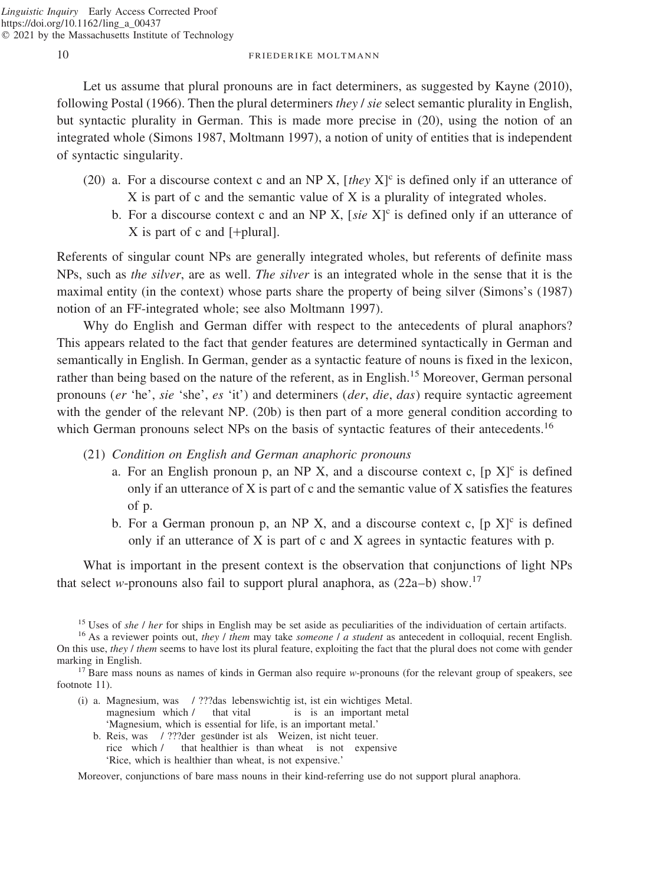Let us assume that plural pronouns are in fact determiners, as suggested by Kayne (2010), following Postal (1966). Then the plural determiners *they* / *sie* select semantic plurality in English, but syntactic plurality in German. This is made more precise in (20), using the notion of an integrated whole (Simons 1987, Moltmann 1997), a notion of unity of entities that is independent of syntactic singularity.

- (20) a. For a discourse context c and an NP X, [*they*  $X$ ]<sup>c</sup> is defined only if an utterance of X is part of c and the semantic value of X is a plurality of integrated wholes.
	- b. For a discourse context c and an NP X,  $[site X]^c$  is defined only if an utterance of  $X$  is part of c and [+plural].

Referents of singular count NPs are generally integrated wholes, but referents of definite mass NPs, such as *the silver*, are as well. *The silver* is an integrated whole in the sense that it is the maximal entity (in the context) whose parts share the property of being silver (Simons's (1987) notion of an FF-integrated whole; see also Moltmann 1997).

Why do English and German differ with respect to the antecedents of plural anaphors? This appears related to the fact that gender features are determined syntactically in German and semantically in English. In German, gender as a syntactic feature of nouns is fixed in the lexicon, rather than being based on the nature of the referent, as in English.<sup>15</sup> Moreover, German personal pronouns (*er* 'he', *sie* 'she', *es* 'it') and determiners (*der*, *die*, *das*) require syntactic agreement with the gender of the relevant NP. (20b) is then part of a more general condition according to which German pronouns select NPs on the basis of syntactic features of their antecedents.<sup>16</sup>

- (21) *Condition on English and German anaphoric pronouns*
	- a. For an English pronoun p, an NP X, and a discourse context c,  $[p \ X]$ <sup>c</sup> is defined only if an utterance of  $X$  is part of c and the semantic value of  $X$  satisfies the features of p.
	- b. For a German pronoun p, an NP X, and a discourse context c,  $[p X]$ <sup>c</sup> is defined only if an utterance of X is part of c and X agrees in syntactic features with p.

What is important in the present context is the observation that conjunctions of light NPs that select *w*-pronouns also fail to support plural anaphora, as  $(22a-b)$  show.<sup>17</sup>

<sup>15</sup> Uses of *she / her* for ships in English may be set aside as peculiarities of the individuation of certain artifacts.<br><sup>16</sup> As a reviewer points out, *they / them* may take *someone / a student* as antecedent in collo

On this use, *they* / *them* seems to have lost its plural feature, exploiting the fact that the plural does not come with gender marking in English.<br><sup>17</sup> Bare mass nouns as names of kinds in German also require *w*-pronouns (for the relevant group of speakers, see

footnote 11).

- (i) a. Magnesium, was / ???das lebenswichtig ist, ist ein wichtiges Metal. magnesium which / that vital is is an important metal 'Magnesium, which is essential for life, is an important metal.'
	- b. Reis, was / ???der gesünder ist als Weizen, ist nicht teuer. rice which / that healthier is than wheat is not expensive 'Rice, which is healthier than wheat, is not expensive.'

Moreover, conjunctions of bare mass nouns in their kind-referring use do not support plural anaphora.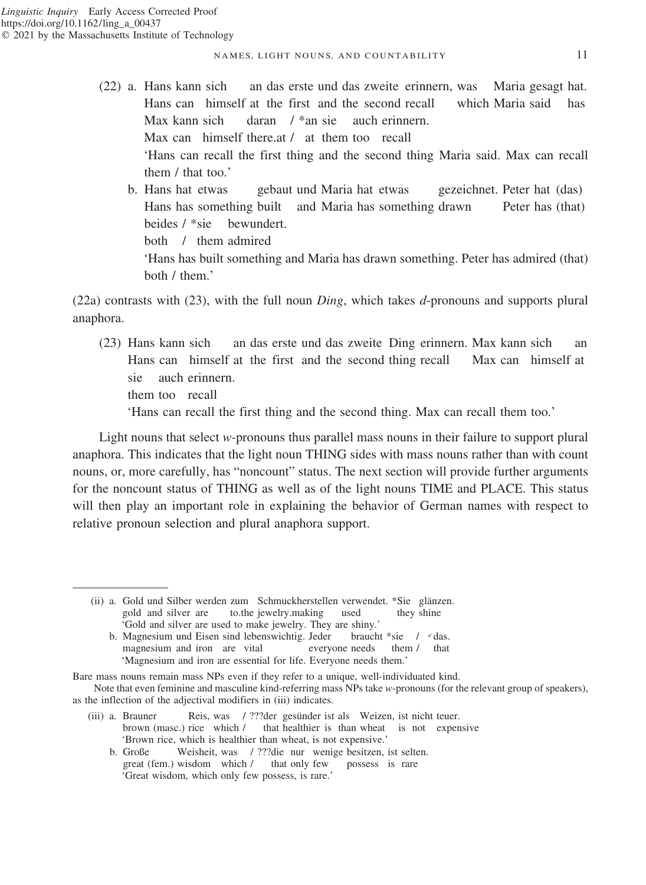- 
- (22) a. Hans kann sich an das erste und das zweite erinnern, was Maria gesagt hat. Hans can himself at the first and the second recall which Maria said has Max kann sich daran / \*an sie auch erinnern. Max can himself there.at / at them too recall 'Hans can recall the first thing and the second thing Maria said. Max can recall them / that too.'
	- b. Hans hat etwas gebaut und Maria hat etwas gezeichnet. Peter hat (das) Hans has something built and Maria has something drawn Peter has (that) beides / \*sie bewundert. both / them admired 'Hans has built something and Maria has drawn something. Peter has admired (that) both / them.'

(22a) contrasts with (23), with the full noun *Ding*, which takes *d*-pronouns and supports plural anaphora.

(23) Hans kann sich an das erste und das zweite Ding erinnern. Max kann sich an Hans can himself at the first and the second thing recall Max can himself at sie auch erinnern.

them too recall

'Hans can recall the first thing and the second thing. Max can recall them too.'

Light nouns that select *w*-pronouns thus parallel mass nouns in their failure to support plural anaphora. This indicates that the light noun THING sides with mass nouns rather than with count nouns, or, more carefully, has "noncount" status. The next section will provide further arguments for the noncount status of THING as well as of the light nouns TIME and PLACE. This status will then play an important role in explaining the behavior of German names with respect to relative pronoun selection and plural anaphora support.

b. Magnesium und Eisen sind lebenswichtig. Jeder braucht \*sie / vdas. magnesium and iron are vital everyone needs them / that 'Magnesium and iron are essential for life. Everyone needs them.'

- (iii) a. Brauner Reis, was / ???der gesünder ist als Weizen, ist nicht teuer. brown (masc.) rice which / that healthier is than wheat is not expensive 'Brown rice, which is healthier than wheat, is not expensive.'
	- b. Große Weisheit, was / ???die nur wenige besitzen, ist selten. great (fem.) wisdom which / that only few possess is rare 'Great wisdom, which only few possess, is rare.'

<sup>(</sup>ii) a. Gold und Silber werden zum Schmuckherstellen verwendet. \*Sie glänzen. gold and silver are to.the jewelry.making used they shine 'Gold and silver are used to make jewelry. They are shiny.'

Bare mass nouns remain mass NPs even if they refer to a unique, well-individuated kind.

Note that even feminine and masculine kind-referring mass NPs take *w*-pronouns (for the relevant group of speakers), as the inflection of the adjectival modifiers in (iii) indicates.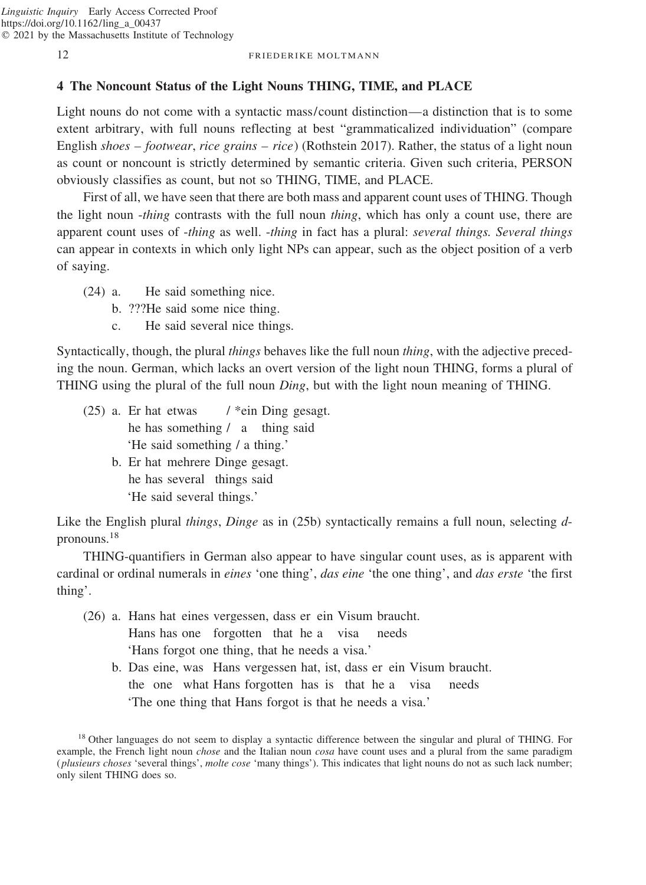## **4 The Noncount Status of the Light Nouns THING, TIME, and PLACE**

Light nouns do not come with a syntactic mass/count distinction—a distinction that is to some extent arbitrary, with full nouns reflecting at best "grammaticalized individuation" (compare English *shoes – footwear*, *rice grains – rice*) (Rothstein 2017). Rather, the status of a light noun as count or noncount is strictly determined by semantic criteria. Given such criteria, PERSON obviously classifies as count, but not so THING, TIME, and PLACE.

First of all, we have seen that there are both mass and apparent count uses of THING. Though the light noun -*thing* contrasts with the full noun *thing*, which has only a count use, there are apparent count uses of -*thing* as well. -*thing* in fact has a plural: *several things. Several things* can appear in contexts in which only light NPs can appear, such as the object position of a verb of saying.

- (24) a. He said something nice.
	- b. ???He said some nice thing.
	- c. He said several nice things.

Syntactically, though, the plural *things* behaves like the full noun *thing*, with the adjective preceding the noun. German, which lacks an overt version of the light noun THING, forms a plural of THING using the plural of the full noun *Ding*, but with the light noun meaning of THING.

- (25) a. Er hat etwas  $/$  \*ein Ding gesagt. he has something / a thing said 'He said something / a thing.'
	- b. Er hat mehrere Dinge gesagt. he has several things said 'He said several things.'

Like the English plural *things*, *Dinge* as in (25b) syntactically remains a full noun, selecting *d*pronouns.<sup>18</sup>

THING-quantifiers in German also appear to have singular count uses, as is apparent with cardinal or ordinal numerals in *eines* 'one thing', *das eine* 'the one thing', and *das erste* 'the first thing'.

- (26) a. Hans hat eines vergessen, dass er ein Visum braucht. Hans has one forgotten that he a visa needs 'Hans forgot one thing, that he needs a visa.'
	- b. Das eine, was Hans vergessen hat, ist, dass er ein Visum braucht. the one what Hans forgotten has is that he a visa needs 'The one thing that Hans forgot is that he needs a visa.'

<sup>18</sup> Other languages do not seem to display a syntactic difference between the singular and plural of THING. For example, the French light noun *chose* and the Italian noun *cosa* have count uses and a plural from the same paradigm (*plusieurs choses* 'several things', *molte cose* 'many things'). This indicates that light nouns do not as such lack number; only silent THING does so.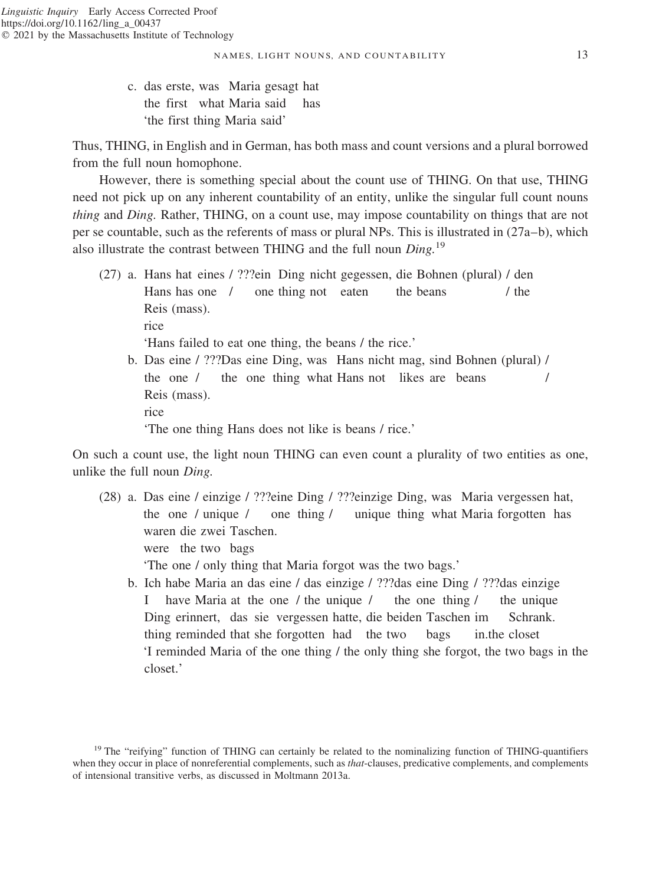c. das erste, was Maria gesagt hat the first what Maria said has 'the first thing Maria said'

Thus, THING, in English and in German, has both mass and count versions and a plural borrowed from the full noun homophone.

However, there is something special about the count use of THING. On that use, THING need not pick up on any inherent countability of an entity, unlike the singular full count nouns *thing* and *Ding.* Rather, THING, on a count use, may impose countability on things that are not per se countable, such as the referents of mass or plural NPs. This is illustrated in (27a–b), which also illustrate the contrast between THING and the full noun *Ding.*<sup>19</sup>

(27) a. Hans hat eines / ???ein Ding nicht gegessen, die Bohnen (plural) / den Hans has one / one thing not eaten the beans / the Reis (mass). rice 'Hans failed to eat one thing, the beans / the rice.' b. Das eine / ???Das eine Ding, was Hans nicht mag, sind Bohnen (plural) / the one / the one thing what Hans not likes are beans / Reis (mass). rice

'The one thing Hans does not like is beans / rice.'

On such a count use, the light noun THING can even count a plurality of two entities as one, unlike the full noun *Ding.*

(28) a. Das eine / einzige / ???eine Ding / ???einzige Ding, was Maria vergessen hat, the one / unique / one thing / unique thing what Maria forgotten has waren die zwei Taschen. were the two bags

'The one / only thing that Maria forgot was the two bags.'

b. Ich habe Maria an das eine / das einzige / ???das eine Ding / ???das einzige I have Maria at the one / the unique / the one thing / the unique Ding erinnert, das sie vergessen hatte, die beiden Taschen im Schrank. thing reminded that she forgotten had the two bags in.the closet 'I reminded Maria of the one thing / the only thing she forgot, the two bags in the closet.'

<sup>&</sup>lt;sup>19</sup> The "reifying" function of THING can certainly be related to the nominalizing function of THING-quantifiers when they occur in place of nonreferential complements, such as *that*-clauses, predicative complements, and complements of intensional transitive verbs, as discussed in Moltmann 2013a.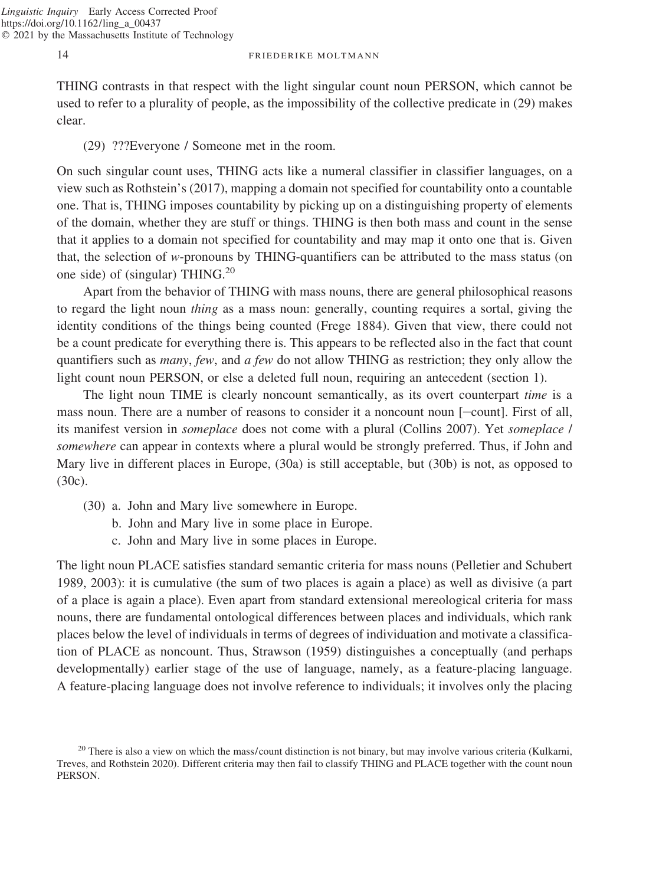THING contrasts in that respect with the light singular count noun PERSON, which cannot be used to refer to a plurality of people, as the impossibility of the collective predicate in (29) makes clear.

## (29) ???Everyone / Someone met in the room.

On such singular count uses, THING acts like a numeral classifier in classifier languages, on a view such as Rothstein's (2017), mapping a domain not specified for countability onto a countable one. That is, THING imposes countability by picking up on a distinguishing property of elements of the domain, whether they are stuff or things. THING is then both mass and count in the sense that it applies to a domain not specified for countability and may map it onto one that is. Given that, the selection of *w*-pronouns by THING-quantifiers can be attributed to the mass status (on one side) of (singular) THING.<sup>20</sup>

Apart from the behavior of THING with mass nouns, there are general philosophical reasons to regard the light noun *thing* as a mass noun: generally, counting requires a sortal, giving the identity conditions of the things being counted (Frege 1884). Given that view, there could not be a count predicate for everything there is. This appears to be reflected also in the fact that count quantifiers such as *many*, *few*, and *a few* do not allow THING as restriction; they only allow the light count noun PERSON, or else a deleted full noun, requiring an antecedent (section 1).

The light noun TIME is clearly noncount semantically, as its overt counterpart *time* is a mass noun. There are a number of reasons to consider it a noncount noun  $[-\text{count}]$ . First of all, its manifest version in *someplace* does not come with a plural (Collins 2007). Yet *someplace* / *somewhere* can appear in contexts where a plural would be strongly preferred. Thus, if John and Mary live in different places in Europe, (30a) is still acceptable, but (30b) is not, as opposed to (30c).

- (30) a. John and Mary live somewhere in Europe.
	- b. John and Mary live in some place in Europe.
	- c. John and Mary live in some places in Europe.

The light noun PLACE satisfies standard semantic criteria for mass nouns (Pelletier and Schubert 1989, 2003): it is cumulative (the sum of two places is again a place) as well as divisive (a part of a place is again a place). Even apart from standard extensional mereological criteria for mass nouns, there are fundamental ontological differences between places and individuals, which rank places below the level of individuals in terms of degrees of individuation and motivate a classification of PLACE as noncount. Thus, Strawson (1959) distinguishes a conceptually (and perhaps developmentally) earlier stage of the use of language, namely, as a feature-placing language. A feature-placing language does not involve reference to individuals; it involves only the placing

 $20$  There is also a view on which the mass/count distinction is not binary, but may involve various criteria (Kulkarni, Treves, and Rothstein 2020). Different criteria may then fail to classify THING and PLACE together with the count noun PERSON.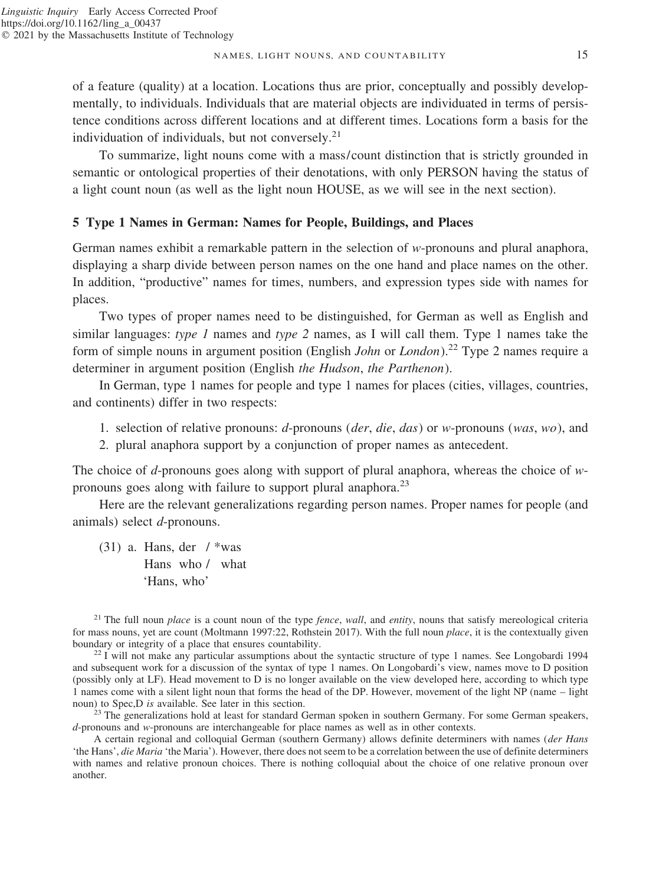#### NAMES, LIGHT NOUNS, AND COUNTABILITY 15

of a feature (quality) at a location. Locations thus are prior, conceptually and possibly developmentally, to individuals. Individuals that are material objects are individuated in terms of persistence conditions across different locations and at different times. Locations form a basis for the individuation of individuals, but not conversely.<sup>21</sup>

To summarize, light nouns come with a mass/count distinction that is strictly grounded in semantic or ontological properties of their denotations, with only PERSON having the status of a light count noun (as well as the light noun HOUSE, as we will see in the next section).

## **5 Type 1 Names in German: Names for People, Buildings, and Places**

German names exhibit a remarkable pattern in the selection of *w*-pronouns and plural anaphora, displaying a sharp divide between person names on the one hand and place names on the other. In addition, "productive" names for times, numbers, and expression types side with names for places.

Two types of proper names need to be distinguished, for German as well as English and similar languages: *type 1* names and *type 2* names, as I will call them. Type 1 names take the form of simple nouns in argument position (English *John* or *London*).<sup>22</sup> Type 2 names require a determiner in argument position (English *the Hudson*, *the Parthenon*).

In German, type 1 names for people and type 1 names for places (cities, villages, countries, and continents) differ in two respects:

- 1. selection of relative pronouns: *d*-pronouns (*der*, *die*, *das*) or *w*-pronouns (*was*, *wo*), and
- 2. plural anaphora support by a conjunction of proper names as antecedent.

The choice of *d*-pronouns goes along with support of plural anaphora, whereas the choice of *w*pronouns goes along with failure to support plural anaphora.<sup>23</sup>

Here are the relevant generalizations regarding person names. Proper names for people (and animals) select *d*-pronouns.

(31) a. Hans, der  $/$  \*was Hans who / what 'Hans, who'

<sup>21</sup> The full noun *place* is a count noun of the type *fence*, *wall*, and *entity*, nouns that satisfy mereological criteria for mass nouns, yet are count (Moltmann 1997:22, Rothstein 2017). With the full noun *place*, it is the contextually given boundary or integrity of a place that ensures countability.

 $b<sup>22</sup>$  I will not make any particular assumptions about the syntactic structure of type 1 names. See Longobardi 1994 and subsequent work for a discussion of the syntax of type 1 names. On Longobardi's view, names move to D position (possibly only at LF). Head movement to D is no longer available on the view developed here, according to which type 1 names come with a silent light noun that forms the head of the DP. However, movement of the light NP (name – light noun) to Spec,D is available. See later in this section.

<sup>23</sup> The generalizations hold at least for standard German spoken in southern Germany. For some German speakers, *d*-pronouns and *w*-pronouns are interchangeable for place names as well as in other contexts.

A certain regional and colloquial German (southern Germany) allows definite determiners with names (*der Hans* 'the Hans', *die Maria* 'the Maria'). However, there does not seem to be a correlation between the use of definite determiners with names and relative pronoun choices. There is nothing colloquial about the choice of one relative pronoun over another.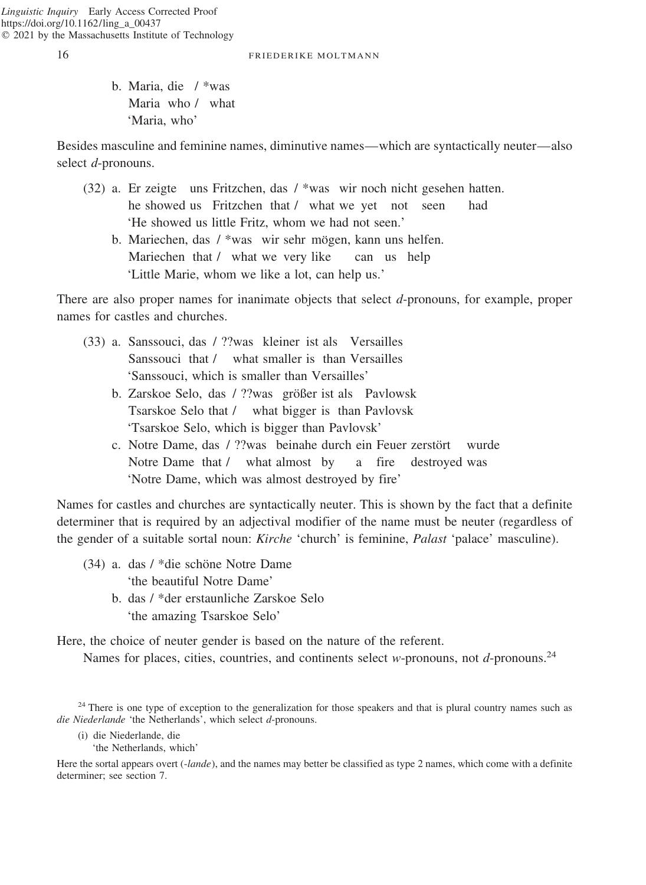b. Maria, die / \*was Maria who / what 'Maria, who'

Besides masculine and feminine names, diminutive names—which are syntactically neuter—also select *d*-pronouns.

- (32) a. Er zeigte uns Fritzchen, das / \*was wir noch nicht gesehen hatten. he showed us Fritzchen that / what we yet not seen had 'He showed us little Fritz, whom we had not seen.'
	- b. Mariechen, das / \*was wir sehr mögen, kann uns helfen. Mariechen that / what we very like can us help 'Little Marie, whom we like a lot, can help us.'

There are also proper names for inanimate objects that select *d*-pronouns, for example, proper names for castles and churches.

- (33) a. Sanssouci, das / ??was kleiner ist als Versailles Sanssouci that / what smaller is than Versailles 'Sanssouci, which is smaller than Versailles'
	- b. Zarskoe Selo, das / ??was größer ist als Pavlowsk Tsarskoe Selo that / what bigger is than Pavlovsk 'Tsarskoe Selo, which is bigger than Pavlovsk'
	- c. Notre Dame, das / ??was beinahe durch ein Feuer zerstört wurde Notre Dame that / what almost by a fire destroyed was 'Notre Dame, which was almost destroyed by fire'

Names for castles and churches are syntactically neuter. This is shown by the fact that a definite determiner that is required by an adjectival modifier of the name must be neuter (regardless of the gender of a suitable sortal noun: *Kirche* 'church' is feminine, *Palast* 'palace' masculine).

- $(34)$  a. das / \*die schöne Notre Dame 'the beautiful Notre Dame'
	- b. das / \*der erstaunliche Zarskoe Selo 'the amazing Tsarskoe Selo'

Here, the choice of neuter gender is based on the nature of the referent.

Names for places, cities, countries, and continents select *w*-pronouns, not *d*-pronouns.<sup>24</sup>

<sup>24</sup> There is one type of exception to the generalization for those speakers and that is plural country names such as *die Niederlande* 'the Netherlands', which select *d*-pronouns.

- (i) die Niederlande, die
	- 'the Netherlands, which'

Here the sortal appears overt (-*lande*), and the names may better be classified as type 2 names, which come with a definite determiner; see section 7.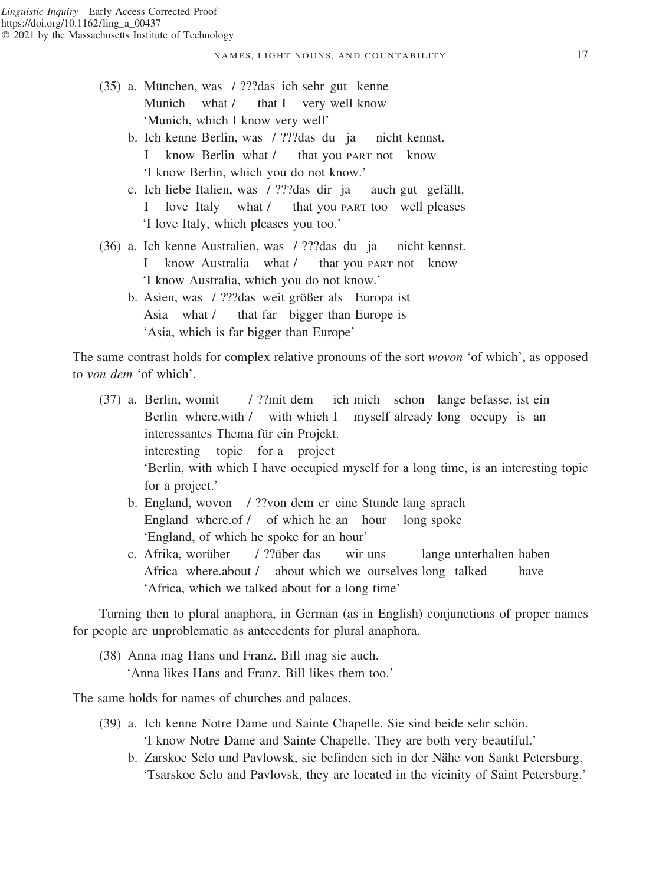- (35) a. Mu¨nchen, was / ???das ich sehr gut kenne Munich what / that I very well know 'Munich, which I know very well'
	- b. Ich kenne Berlin, was / ???das du ja nicht kennst. I know Berlin what / that you PART not know 'I know Berlin, which you do not know.'
	- c. Ich liebe Italien, was / ???das dir ja auch gut gefällt. love Italy what / that you PART too well pleases 'I love Italy, which pleases you too.'
- (36) a. Ich kenne Australien, was / ???das du ja nicht kennst. know Australia what / that you PART not know 'I know Australia, which you do not know.'
	- b. Asien, was / ???das weit größer als Europa ist Asia what / that far bigger than Europe is 'Asia, which is far bigger than Europe'

The same contrast holds for complex relative pronouns of the sort *wovon* 'of which', as opposed to *von dem* 'of which'.

- (37) a. Berlin, womit / ??mit dem ich mich schon lange befasse, ist ein Berlin where.with / with which I myself already long occupy is an interessantes Thema für ein Projekt. interesting topic for a project 'Berlin, with which I have occupied myself for a long time, is an interesting topic for a project.'
	- b. England, wovon / ??von dem er eine Stunde lang sprach England where.of / of which he an hour long spoke 'England, of which he spoke for an hour'
	- c. Afrika, worüber / ??über das wir uns lange unterhalten haben Africa where.about / about which we ourselves long talked have 'Africa, which we talked about for a long time'

Turning then to plural anaphora, in German (as in English) conjunctions of proper names for people are unproblematic as antecedents for plural anaphora.

(38) Anna mag Hans und Franz. Bill mag sie auch. 'Anna likes Hans and Franz. Bill likes them too.'

The same holds for names of churches and palaces.

- (39) a. Ich kenne Notre Dame und Sainte Chapelle. Sie sind beide sehr schön. 'I know Notre Dame and Sainte Chapelle. They are both very beautiful.'
	- b. Zarskoe Selo und Pavlowsk, sie befinden sich in der Nähe von Sankt Petersburg. 'Tsarskoe Selo and Pavlovsk, they are located in the vicinity of Saint Petersburg.'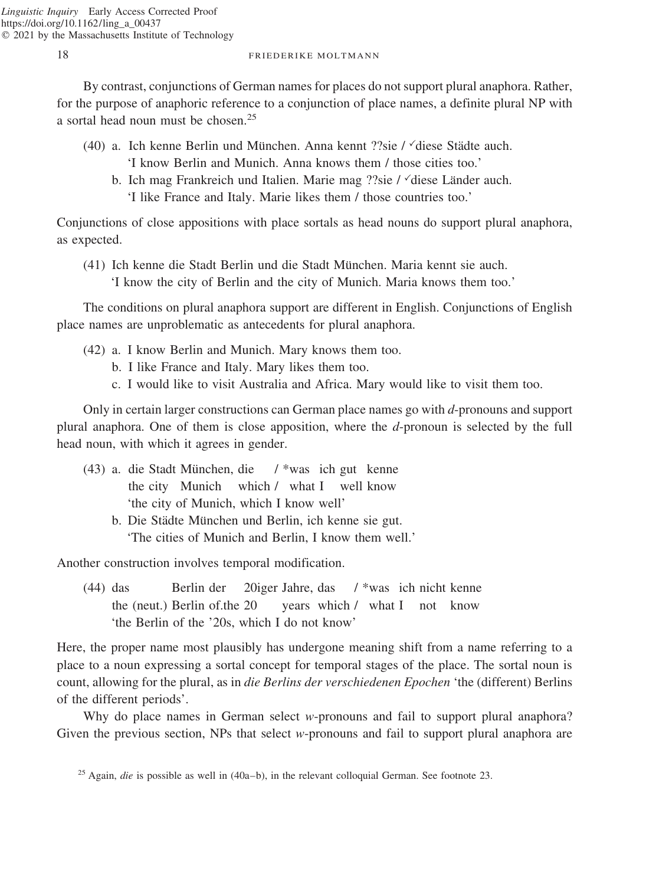By contrast, conjunctions of German names for places do not support plural anaphora. Rather, for the purpose of anaphoric reference to a conjunction of place names, a definite plural NP with a sortal head noun must be chosen.<sup>25</sup>

- (40) a. Ich kenne Berlin und München. Anna kennt ??sie /  $\check{\text{d}}$ iese Städte auch. 'I know Berlin and Munich. Anna knows them / those cities too.'
	- b. Ich mag Frankreich und Italien. Marie mag ??sie /  $\check{\ }$ diese Länder auch. 'I like France and Italy. Marie likes them / those countries too.'

Conjunctions of close appositions with place sortals as head nouns do support plural anaphora, as expected.

(41) Ich kenne die Stadt Berlin und die Stadt München. Maria kennt sie auch. 'I know the city of Berlin and the city of Munich. Maria knows them too.'

The conditions on plural anaphora support are different in English. Conjunctions of English place names are unproblematic as antecedents for plural anaphora.

- (42) a. I know Berlin and Munich. Mary knows them too.
	- b. I like France and Italy. Mary likes them too.
	- c. I would like to visit Australia and Africa. Mary would like to visit them too.

Only in certain larger constructions can German place names go with *d*-pronouns and support plural anaphora. One of them is close apposition, where the *d*-pronoun is selected by the full head noun, with which it agrees in gender.

- (43) a. die Stadt München, die / \*was ich gut kenne the city Munich which / what I well know 'the city of Munich, which I know well'
	- b. Die Städte München und Berlin, ich kenne sie gut. 'The cities of Munich and Berlin, I know them well.'

Another construction involves temporal modification.

(44) das Berlin der 20iger Jahre, das / \*was ich nicht kenne the (neut.) Berlin of.the 20 years which / what I not know 'the Berlin of the '20s, which I do not know'

Here, the proper name most plausibly has undergone meaning shift from a name referring to a place to a noun expressing a sortal concept for temporal stages of the place. The sortal noun is count, allowing for the plural, as in *die Berlins der verschiedenen Epochen* 'the (different) Berlins of the different periods'.

Why do place names in German select *w*-pronouns and fail to support plural anaphora? Given the previous section, NPs that select *w*-pronouns and fail to support plural anaphora are

<sup>25</sup> Again, *die* is possible as well in (40a–b), in the relevant colloquial German. See footnote 23.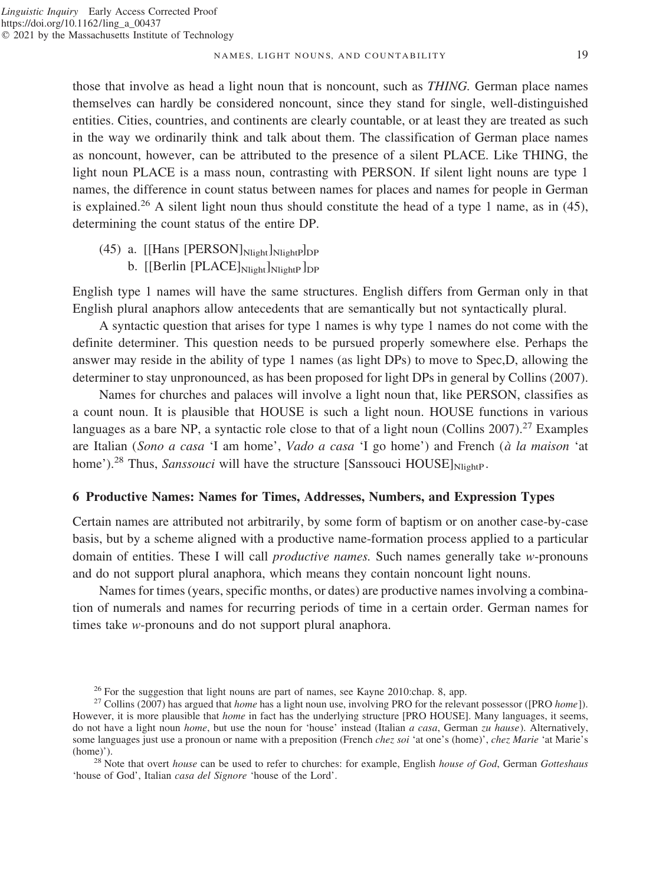#### NAMES, LIGHT NOUNS, AND COUNTABILITY 19

those that involve as head a light noun that is noncount, such as *THING.* German place names themselves can hardly be considered noncount, since they stand for single, well-distinguished entities. Cities, countries, and continents are clearly countable, or at least they are treated as such in the way we ordinarily think and talk about them. The classification of German place names as noncount, however, can be attributed to the presence of a silent PLACE. Like THING, the light noun PLACE is a mass noun, contrasting with PERSON. If silent light nouns are type 1 names, the difference in count status between names for places and names for people in German is explained.<sup>26</sup> A silent light noun thus should constitute the head of a type 1 name, as in (45), determining the count status of the entire DP.

 $(45)$  a. [[Hans [PERSON] $_{\text{Nlight}}$ ] $_{\text{Nlight}}$  $b.$  [[Berlin [PLACE] $_{\text{Nlight}}$ ] $_{\text{NlohtP}}$ ] $_{\text{DP}}$ 

English type 1 names will have the same structures. English differs from German only in that English plural anaphors allow antecedents that are semantically but not syntactically plural.

A syntactic question that arises for type 1 names is why type 1 names do not come with the definite determiner. This question needs to be pursued properly somewhere else. Perhaps the answer may reside in the ability of type 1 names (as light DPs) to move to Spec,D, allowing the determiner to stay unpronounced, as has been proposed for light DPs in general by Collins (2007).

Names for churches and palaces will involve a light noun that, like PERSON, classifies as a count noun. It is plausible that HOUSE is such a light noun. HOUSE functions in various languages as a bare NP, a syntactic role close to that of a light noun (Collins 2007).<sup>27</sup> Examples are Italian (*Sono a casa* 'I am home', *Vado a casa* 'I go home') and French (*a` la maison* 'at home').<sup>28</sup> Thus, *Sanssouci* will have the structure [Sanssouci HOUSE]<sub>NlightP</sub>.

## **6 Productive Names: Names for Times, Addresses, Numbers, and Expression Types**

Certain names are attributed not arbitrarily, by some form of baptism or on another case-by-case basis, but by a scheme aligned with a productive name-formation process applied to a particular domain of entities. These I will call *productive names.* Such names generally take *w*-pronouns and do not support plural anaphora, which means they contain noncount light nouns.

Names for times (years, specific months, or dates) are productive names involving a combination of numerals and names for recurring periods of time in a certain order. German names for times take *w*-pronouns and do not support plural anaphora.

'house of God', Italian *casa del Signore* 'house of the Lord'.

<sup>26</sup> For the suggestion that light nouns are part of names, see Kayne 2010:chap. 8, app. <sup>27</sup> Collins (2007) has argued that *home* has a light noun use, involving PRO for the relevant possessor ([PRO *home*]). However, it is more plausible that *home* in fact has the underlying structure [PRO HOUSE]. Many languages, it seems, do not have a light noun *home*, but use the noun for 'house' instead (Italian *a casa*, German *zu hause*). Alternatively, some languages just use a pronoun or name with a preposition (French *chez soi* 'at one's (home)', *chez Marie* 'at Marie's (home)'). <sup>28</sup> Note that overt *house* can be used to refer to churches: for example, English *house of God*, German *Gotteshaus*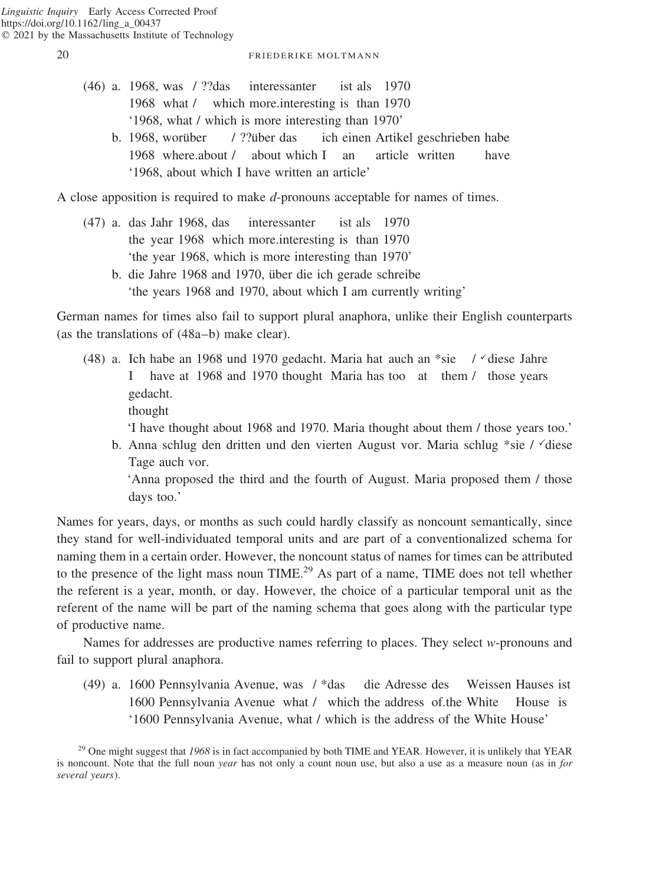- (46) a. 1968, was / ??das interessanter ist als 1970 1968 what / which more.interesting is than 1970 '1968, what / which is more interesting than 1970'
	- b. 1968, worüber / ??über das ich einen Artikel geschrieben habe 1968 where.about / about which I an article written have '1968, about which I have written an article'

A close apposition is required to make *d*-pronouns acceptable for names of times.

- (47) a. das Jahr 1968, das interessanter ist als 1970 the year 1968 which more.interesting is than 1970 'the year 1968, which is more interesting than 1970'
	- b. die Jahre 1968 and 1970, über die ich gerade schreibe 'the years 1968 and 1970, about which I am currently writing'

German names for times also fail to support plural anaphora, unlike their English counterparts (as the translations of (48a–b) make clear).

- (48) a. Ich habe an 1968 und 1970 gedacht. Maria hat auch an \*sie /  $\check{ }$  diese Jahre I have at 1968 and 1970 thought Maria has too at them / those years gedacht.
	- thought

'I have thought about 1968 and 1970. Maria thought about them / those years too.'

b. Anna schlug den dritten und den vierten August vor. Maria schlug \*sie /  $\checkmark$  diese Tage auch vor.

'Anna proposed the third and the fourth of August. Maria proposed them / those days too.'

Names for years, days, or months as such could hardly classify as noncount semantically, since they stand for well-individuated temporal units and are part of a conventionalized schema for naming them in a certain order. However, the noncount status of names for times can be attributed to the presence of the light mass noun TIME.<sup>29</sup> As part of a name, TIME does not tell whether the referent is a year, month, or day. However, the choice of a particular temporal unit as the referent of the name will be part of the naming schema that goes along with the particular type of productive name.

Names for addresses are productive names referring to places. They select *w*-pronouns and fail to support plural anaphora.

(49) a. 1600 Pennsylvania Avenue, was / \*das die Adresse des Weissen Hauses ist 1600 Pennsylvania Avenue what / which the address of.the White House is '1600 Pennsylvania Avenue, what / which is the address of the White House'

<sup>29</sup> One might suggest that *1968* is in fact accompanied by both TIME and YEAR. However, it is unlikely that YEAR is noncount. Note that the full noun *year* has not only a count noun use, but also a use as a measure noun (as in *for several years*).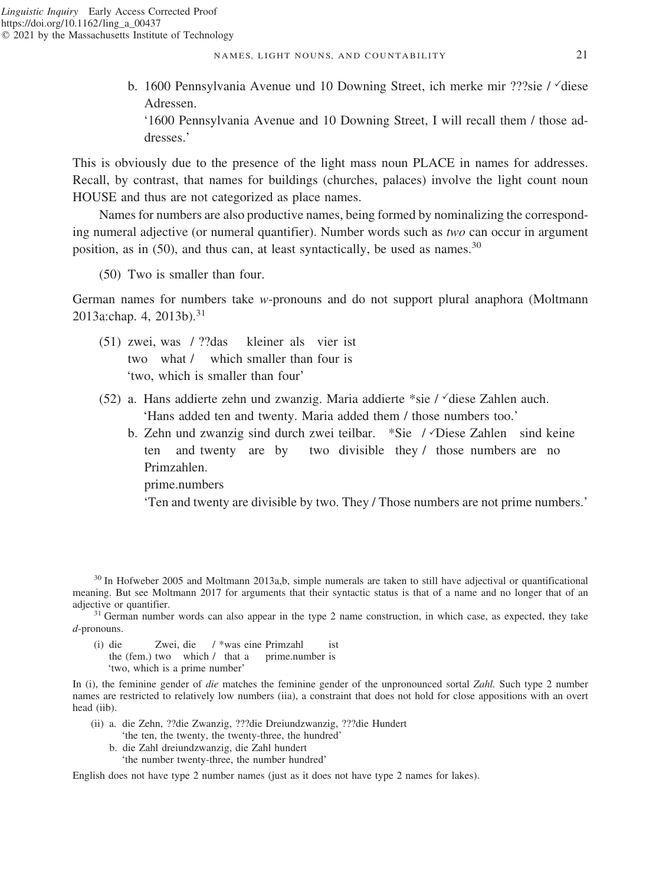b. 1600 Pennsylvania Avenue und 10 Downing Street, ich merke mir ???sie / diese Adressen.

'1600 Pennsylvania Avenue and 10 Downing Street, I will recall them / those addresses.'

This is obviously due to the presence of the light mass noun PLACE in names for addresses. Recall, by contrast, that names for buildings (churches, palaces) involve the light count noun HOUSE and thus are not categorized as place names.

Names for numbers are also productive names, being formed by nominalizing the corresponding numeral adjective (or numeral quantifier). Number words such as *two* can occur in argument position, as in  $(50)$ , and thus can, at least syntactically, be used as names.<sup>30</sup>

(50) Two is smaller than four.

German names for numbers take *w*-pronouns and do not support plural anaphora (Moltmann 2013a:chap. 4, 2013b).<sup>31</sup>

- (51) zwei, was / ??das kleiner als vier ist two what / which smaller than four is 'two, which is smaller than four'
- (52) a. Hans addierte zehn und zwanzig. Maria addierte \*sie / diese Zahlen auch. 'Hans added ten and twenty. Maria added them / those numbers too.'
	- b. Zehn und zwanzig sind durch zwei teilbar. \*Sie / Diese Zahlen sind keine ten and twenty are by two divisible they / those numbers are no Primzahlen.

prime.numbers

'Ten and twenty are divisible by two. They / Those numbers are not prime numbers.'

<sup>30</sup> In Hofweber 2005 and Moltmann 2013a,b, simple numerals are taken to still have adjectival or quantificational meaning. But see Moltmann 2017 for arguments that their syntactic status is that of a name and no longer that of an adjective or quantifier.<br> $31$  German number words can also appear in the type 2 name construction, in which case, as expected, they take

*d*-pronouns.

- (i) die Zwei, die / \*was eine Primzahl ist
	- the (fem.) two which / that a prime.number is 'two, which is a prime number'

In (i), the feminine gender of *die* matches the feminine gender of the unpronounced sortal *Zahl.* Such type 2 number names are restricted to relatively low numbers (iia), a constraint that does not hold for close appositions with an overt head (iib).

- (ii) a. die Zehn, ??die Zwanzig, ???die Dreiundzwanzig, ???die Hundert 'the ten, the twenty, the twenty-three, the hundred'
	- b. die Zahl dreiundzwanzig, die Zahl hundert
		- 'the number twenty-three, the number hundred'

English does not have type 2 number names (just as it does not have type 2 names for lakes).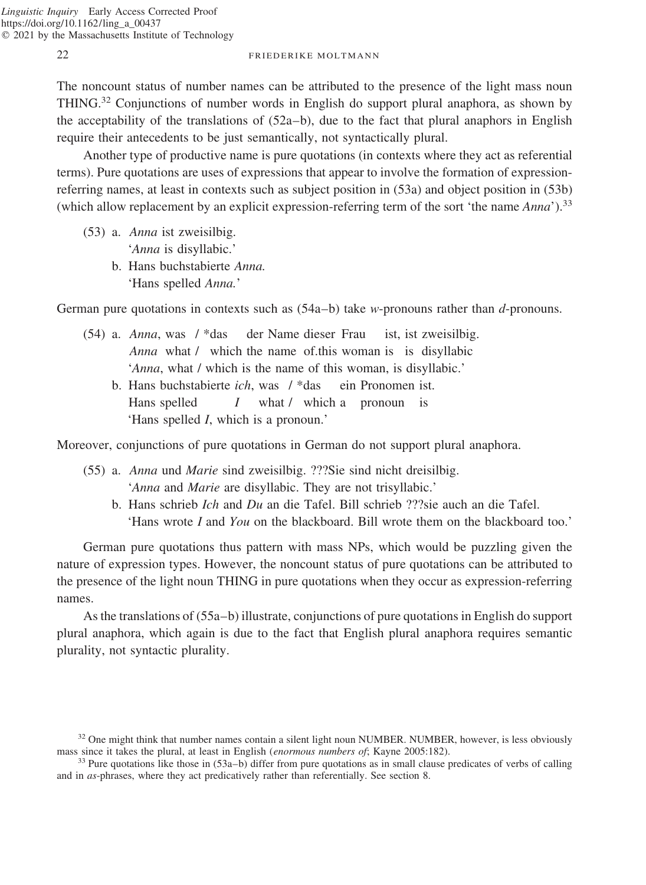The noncount status of number names can be attributed to the presence of the light mass noun THING.<sup>32</sup> Conjunctions of number words in English do support plural anaphora, as shown by the acceptability of the translations of  $(52a-b)$ , due to the fact that plural anaphors in English require their antecedents to be just semantically, not syntactically plural.

Another type of productive name is pure quotations (in contexts where they act as referential terms). Pure quotations are uses of expressions that appear to involve the formation of expressionreferring names, at least in contexts such as subject position in (53a) and object position in (53b) (which allow replacement by an explicit expression-referring term of the sort 'the name *Anna*').33

- (53) a. *Anna* ist zweisilbig. '*Anna* is disyllabic.'
	- b. Hans buchstabierte *Anna.* 'Hans spelled *Anna.*'

German pure quotations in contexts such as (54a–b) take *w*-pronouns rather than *d*-pronouns.

- (54) a. *Anna*, was / \*das der Name dieser Frau ist, ist zweisilbig. *Anna* what / which the name of.this woman is is disyllabic '*Anna*, what / which is the name of this woman, is disyllabic.'
	- b. Hans buchstabierte *ich*, was / \*das ein Pronomen ist. Hans spelled *I* what / which a pronoun is 'Hans spelled *I*, which is a pronoun.'

Moreover, conjunctions of pure quotations in German do not support plural anaphora.

- (55) a. *Anna* und *Marie* sind zweisilbig. ???Sie sind nicht dreisilbig. '*Anna* and *Marie* are disyllabic. They are not trisyllabic.'
	- b. Hans schrieb *Ich* and *Du* an die Tafel. Bill schrieb ???sie auch an die Tafel. 'Hans wrote *I* and *You* on the blackboard. Bill wrote them on the blackboard too.'

German pure quotations thus pattern with mass NPs, which would be puzzling given the nature of expression types. However, the noncount status of pure quotations can be attributed to the presence of the light noun THING in pure quotations when they occur as expression-referring names.

As the translations of (55a–b) illustrate, conjunctions of pure quotations in English do support plural anaphora, which again is due to the fact that English plural anaphora requires semantic plurality, not syntactic plurality.

<sup>&</sup>lt;sup>32</sup> One might think that number names contain a silent light noun NUMBER. NUMBER, however, is less obviously mass since it takes the plural, at least in English (*enormous numbers of*; Kayne 2005:182).

<sup>&</sup>lt;sup>33</sup> Pure quotations like those in (53a–b) differ from pure quotations as in small clause predicates of verbs of calling and in *as*-phrases, where they act predicatively rather than referentially. See section 8.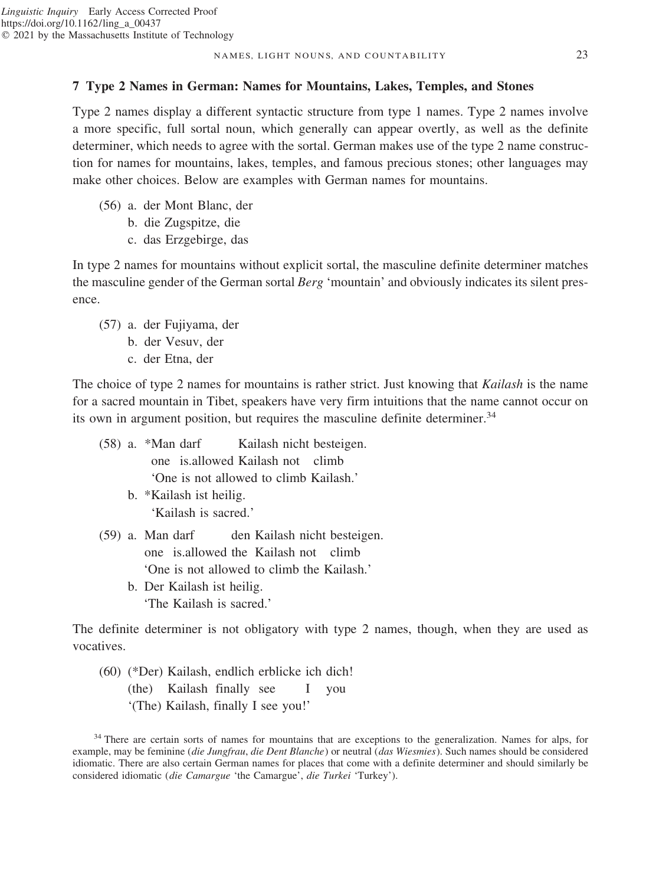## **7 Type 2 Names in German: Names for Mountains, Lakes, Temples, and Stones**

Type 2 names display a different syntactic structure from type 1 names. Type 2 names involve a more specific, full sortal noun, which generally can appear overtly, as well as the definite determiner, which needs to agree with the sortal. German makes use of the type 2 name construction for names for mountains, lakes, temples, and famous precious stones; other languages may make other choices. Below are examples with German names for mountains.

- (56) a. der Mont Blanc, der
	- b. die Zugspitze, die
	- c. das Erzgebirge, das

In type 2 names for mountains without explicit sortal, the masculine definite determiner matches the masculine gender of the German sortal *Berg* 'mountain' and obviously indicates its silent presence.

- (57) a. der Fujiyama, der
	- b. der Vesuv, der
	- c. der Etna, der

The choice of type 2 names for mountains is rather strict. Just knowing that *Kailash* is the name for a sacred mountain in Tibet, speakers have very firm intuitions that the name cannot occur on its own in argument position, but requires the masculine definite determiner.<sup>34</sup>

(58) a. \*Man darf Kailash nicht besteigen. one is.allowed Kailash not climb 'One is not allowed to climb Kailash.' b. \*Kailash ist heilig. 'Kailash is sacred.' (59) a. Man darf den Kailash nicht besteigen.

one is.allowed the Kailash not climb 'One is not allowed to climb the Kailash.' b. Der Kailash ist heilig. 'The Kailash is sacred.'

The definite determiner is not obligatory with type 2 names, though, when they are used as vocatives.

(60) (\*Der) Kailash, endlich erblicke ich dich! (the) Kailash finally see I you '(The) Kailash, finally I see you!'

<sup>&</sup>lt;sup>34</sup> There are certain sorts of names for mountains that are exceptions to the generalization. Names for alps, for example, may be feminine (*die Jungfrau*, *die Dent Blanche*) or neutral (*das Wiesmies*). Such names should be considered idiomatic. There are also certain German names for places that come with a definite determiner and should similarly be considered idiomatic (*die Camargue* 'the Camargue', *die Turkei* 'Turkey').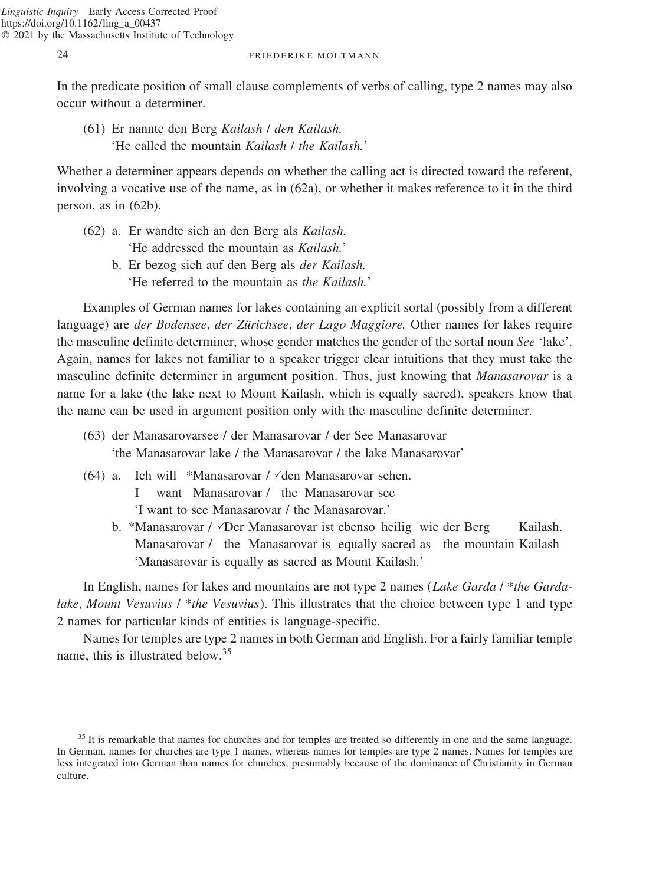In the predicate position of small clause complements of verbs of calling, type 2 names may also occur without a determiner.

(61) Er nannte den Berg *Kailash* / *den Kailash.* 'He called the mountain *Kailash* / *the Kailash.*'

Whether a determiner appears depends on whether the calling act is directed toward the referent, involving a vocative use of the name, as in (62a), or whether it makes reference to it in the third person, as in (62b).

- (62) a. Er wandte sich an den Berg als *Kailash.* 'He addressed the mountain as *Kailash.*'
	- b. Er bezog sich auf den Berg als *der Kailash.* 'He referred to the mountain as *the Kailash.*'

Examples of German names for lakes containing an explicit sortal (possibly from a different language) are *der Bodensee, der Zürichsee, der Lago Maggiore*. Other names for lakes require the masculine definite determiner, whose gender matches the gender of the sortal noun *See* 'lake'. Again, names for lakes not familiar to a speaker trigger clear intuitions that they must take the masculine definite determiner in argument position. Thus, just knowing that *Manasarovar* is a name for a lake (the lake next to Mount Kailash, which is equally sacred), speakers know that the name can be used in argument position only with the masculine definite determiner.

- (63) der Manasarovarsee / der Manasarovar / der See Manasarovar 'the Manasarovar lake / the Manasarovar / the lake Manasarovar'
- (64) a. Ich will \*Manasarovar /  $\checkmark$  den Manasarovar sehen. I want Manasarovar / the Manasarovar see 'I want to see Manasarovar / the Manasarovar.'
	- b. \*Manasarovar / *Der Manasarovar ist ebenso heilig wie der Berg Kailash.* Manasarovar / the Manasarovar is equally sacred as the mountain Kailash 'Manasarovar is equally as sacred as Mount Kailash.'

In English, names for lakes and mountains are not type 2 names (*Lake Garda* / \**the Gardalake*, *Mount Vesuvius* / \**the Vesuvius*). This illustrates that the choice between type 1 and type 2 names for particular kinds of entities is language-specific.

Names for temples are type 2 names in both German and English. For a fairly familiar temple name, this is illustrated below.<sup>35</sup>

<sup>&</sup>lt;sup>35</sup> It is remarkable that names for churches and for temples are treated so differently in one and the same language. In German, names for churches are type 1 names, whereas names for temples are type 2 names. Names for temples are less integrated into German than names for churches, presumably because of the dominance of Christianity in German culture.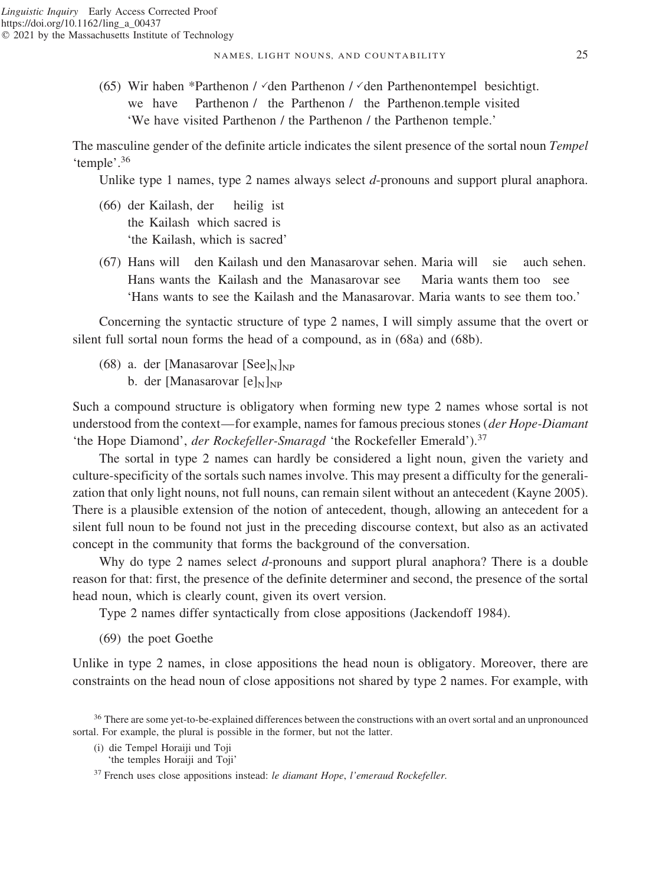(65) Wir haben \*Parthenon /  $\checkmark$  den Parthenon /  $\checkmark$  den Parthenontempel besichtigt. we have Parthenon / the Parthenon / the Parthenon.temple visited 'We have visited Parthenon / the Parthenon / the Parthenon temple.'

The masculine gender of the definite article indicates the silent presence of the sortal noun *Tempel* 'temple'.<sup>36</sup>

Unlike type 1 names, type 2 names always select *d*-pronouns and support plural anaphora.

- (66) der Kailash, der heilig ist the Kailash which sacred is 'the Kailash, which is sacred'
- (67) Hans will den Kailash und den Manasarovar sehen. Maria will sie auch sehen. Hans wants the Kailash and the Manasarovar see Maria wants them too see 'Hans wants to see the Kailash and the Manasarovar. Maria wants to see them too.'

Concerning the syntactic structure of type 2 names, I will simply assume that the overt or silent full sortal noun forms the head of a compound, as in (68a) and (68b).

(68) a. der [Manasarovar [See] $_{\text{N}}$ ]<sub>NP</sub> b. der [Manasarovar  $[e]_N$ ]<sub>NP</sub>

Such a compound structure is obligatory when forming new type 2 names whose sortal is not understood from the context—for example, names for famous precious stones (*der Hope-Diamant* 'the Hope Diamond', *der Rockefeller-Smaragd* 'the Rockefeller Emerald').<sup>37</sup>

The sortal in type 2 names can hardly be considered a light noun, given the variety and culture-specificity of the sortals such names involve. This may present a difficulty for the generalization that only light nouns, not full nouns, can remain silent without an antecedent (Kayne 2005). There is a plausible extension of the notion of antecedent, though, allowing an antecedent for a silent full noun to be found not just in the preceding discourse context, but also as an activated concept in the community that forms the background of the conversation.

Why do type 2 names select *d*-pronouns and support plural anaphora? There is a double reason for that: first, the presence of the definite determiner and second, the presence of the sortal head noun, which is clearly count, given its overt version.

Type 2 names differ syntactically from close appositions (Jackendoff 1984).

(69) the poet Goethe

Unlike in type 2 names, in close appositions the head noun is obligatory. Moreover, there are constraints on the head noun of close appositions not shared by type 2 names. For example, with

<sup>&</sup>lt;sup>36</sup> There are some yet-to-be-explained differences between the constructions with an overt sortal and an unpronounced sortal. For example, the plural is possible in the former, but not the latter.

<sup>(</sup>i) die Tempel Horaiji und Toji

<sup>&#</sup>x27;the temples Horaiji and Toji'

<sup>37</sup> French uses close appositions instead: *le diamant Hope*, *l'emeraud Rockefeller.*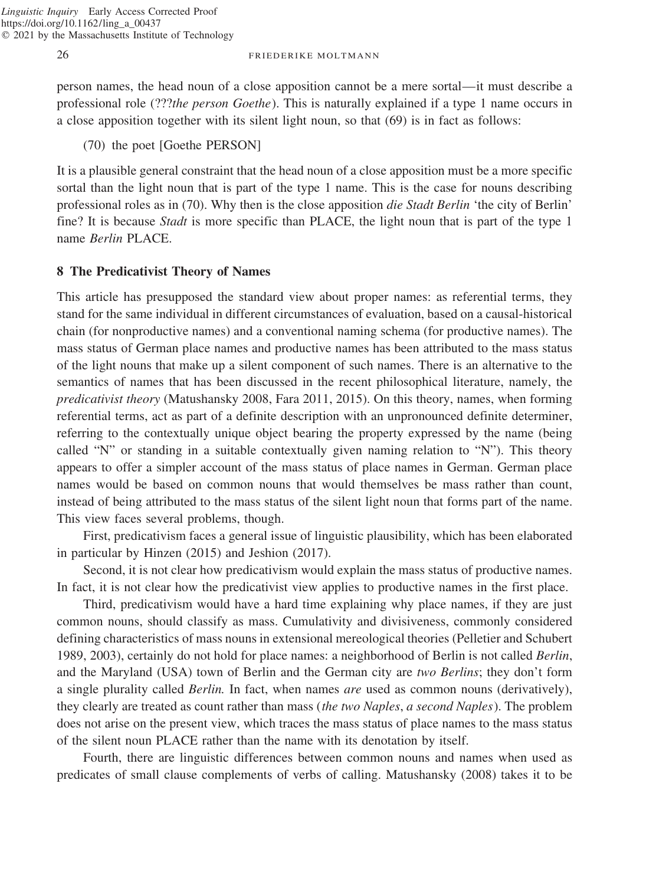person names, the head noun of a close apposition cannot be a mere sortal—it must describe a professional role (???*the person Goethe*). This is naturally explained if a type 1 name occurs in a close apposition together with its silent light noun, so that (69) is in fact as follows:

(70) the poet [Goethe PERSON]

It is a plausible general constraint that the head noun of a close apposition must be a more specific sortal than the light noun that is part of the type 1 name. This is the case for nouns describing professional roles as in (70). Why then is the close apposition *die Stadt Berlin* 'the city of Berlin' fine? It is because *Stadt* is more specific than PLACE, the light noun that is part of the type 1 name *Berlin* PLACE.

## **8 The Predicativist Theory of Names**

This article has presupposed the standard view about proper names: as referential terms, they stand for the same individual in different circumstances of evaluation, based on a causal-historical chain (for nonproductive names) and a conventional naming schema (for productive names). The mass status of German place names and productive names has been attributed to the mass status of the light nouns that make up a silent component of such names. There is an alternative to the semantics of names that has been discussed in the recent philosophical literature, namely, the *predicativist theory* (Matushansky 2008, Fara 2011, 2015). On this theory, names, when forming referential terms, act as part of a definite description with an unpronounced definite determiner, referring to the contextually unique object bearing the property expressed by the name (being called "N" or standing in a suitable contextually given naming relation to "N"). This theory appears to offer a simpler account of the mass status of place names in German. German place names would be based on common nouns that would themselves be mass rather than count, instead of being attributed to the mass status of the silent light noun that forms part of the name. This view faces several problems, though.

First, predicativism faces a general issue of linguistic plausibility, which has been elaborated in particular by Hinzen (2015) and Jeshion (2017).

Second, it is not clear how predicativism would explain the mass status of productive names. In fact, it is not clear how the predicativist view applies to productive names in the first place.

Third, predicativism would have a hard time explaining why place names, if they are just common nouns, should classify as mass. Cumulativity and divisiveness, commonly considered defining characteristics of mass nouns in extensional mereological theories (Pelletier and Schubert 1989, 2003), certainly do not hold for place names: a neighborhood of Berlin is not called *Berlin*, and the Maryland (USA) town of Berlin and the German city are *two Berlins*; they don't form a single plurality called *Berlin.* In fact, when names *are* used as common nouns (derivatively), they clearly are treated as count rather than mass (*the two Naples*, *a second Naples*). The problem does not arise on the present view, which traces the mass status of place names to the mass status of the silent noun PLACE rather than the name with its denotation by itself.

Fourth, there are linguistic differences between common nouns and names when used as predicates of small clause complements of verbs of calling. Matushansky (2008) takes it to be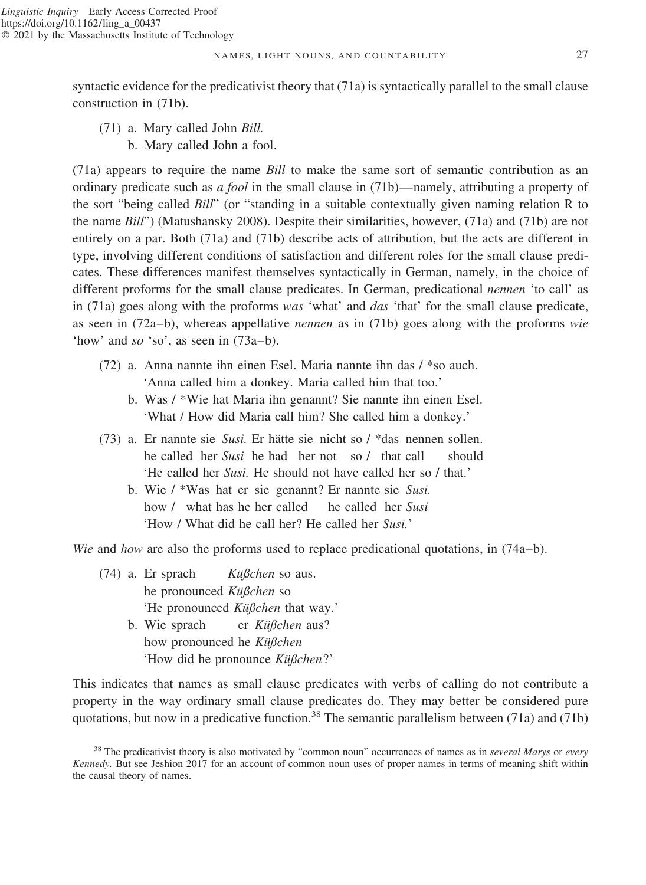syntactic evidence for the predicativist theory that (71a) is syntactically parallel to the small clause construction in (71b).

(71) a. Mary called John *Bill.* b. Mary called John a fool.

(71a) appears to require the name *Bill* to make the same sort of semantic contribution as an ordinary predicate such as *a fool* in the small clause in (71b)—namely, attributing a property of the sort "being called *Bill*" (or "standing in a suitable contextually given naming relation R to the name *Bill*") (Matushansky 2008). Despite their similarities, however, (71a) and (71b) are not entirely on a par. Both (71a) and (71b) describe acts of attribution, but the acts are different in type, involving different conditions of satisfaction and different roles for the small clause predicates. These differences manifest themselves syntactically in German, namely, in the choice of different proforms for the small clause predicates. In German, predicational *nennen* 'to call' as in (71a) goes along with the proforms *was* 'what' and *das* 'that' for the small clause predicate, as seen in (72a–b), whereas appellative *nennen* as in (71b) goes along with the proforms *wie* 'how' and *so* 'so', as seen in (73a–b).

- (72) a. Anna nannte ihn einen Esel. Maria nannte ihn das / \*so auch. 'Anna called him a donkey. Maria called him that too.'
	- b. Was / \*Wie hat Maria ihn genannt? Sie nannte ihn einen Esel. 'What / How did Maria call him? She called him a donkey.'
- (73) a. Er nannte sie *Susi*. Er hätte sie nicht so / \*das nennen sollen. he called her *Susi* he had her not so / that call should 'He called her *Susi.* He should not have called her so / that.'
	- b. Wie / \*Was hat er sie genannt? Er nannte sie *Susi.* how / what has he her called he called her *Susi* 'How / What did he call her? He called her *Susi.*'

*Wie* and *how* are also the proforms used to replace predicational quotations, in (74a–b).

- (74) a. Er sprach *Kußchen* so aus. he pronounced *Küßchen* so 'He pronounced *Küßchen* that way.'
	- b. Wie sprach er *Küßchen* aus? how pronounced he *Küßchen* 'How did he pronounce *Küßchen*?'

This indicates that names as small clause predicates with verbs of calling do not contribute a property in the way ordinary small clause predicates do. They may better be considered pure quotations, but now in a predicative function.<sup>38</sup> The semantic parallelism between  $(71a)$  and  $(71b)$ 

<sup>38</sup> The predicativist theory is also motivated by "common noun" occurrences of names as in *several Marys* or *every Kennedy.* But see Jeshion 2017 for an account of common noun uses of proper names in terms of meaning shift within the causal theory of names.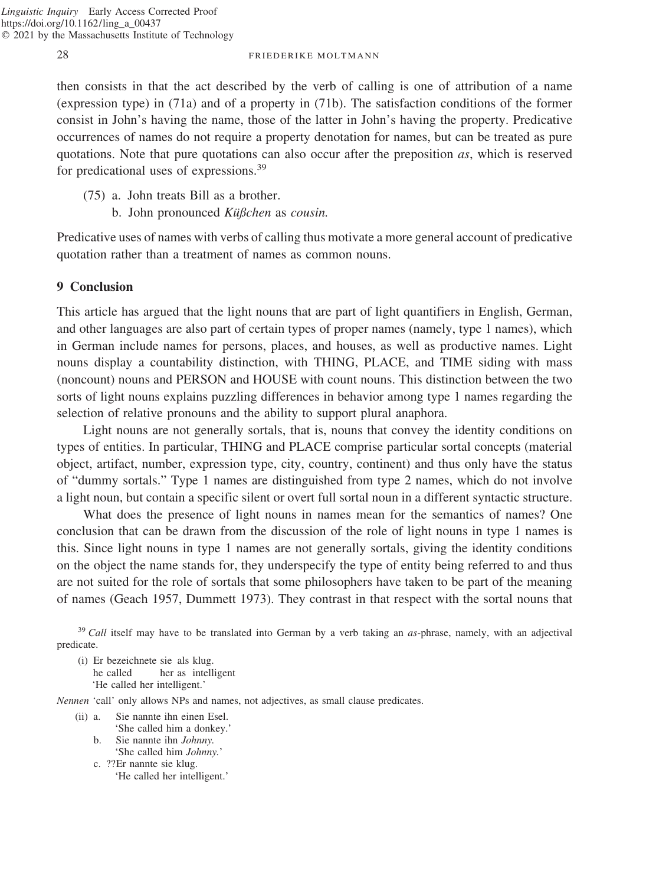then consists in that the act described by the verb of calling is one of attribution of a name (expression type) in (71a) and of a property in (71b). The satisfaction conditions of the former consist in John's having the name, those of the latter in John's having the property. Predicative occurrences of names do not require a property denotation for names, but can be treated as pure quotations. Note that pure quotations can also occur after the preposition *as*, which is reserved for predicational uses of expressions.<sup>39</sup>

- (75) a. John treats Bill as a brother.
	- b. John pronounced *Küßchen* as *cousin*.

Predicative uses of names with verbs of calling thus motivate a more general account of predicative quotation rather than a treatment of names as common nouns.

## **9 Conclusion**

This article has argued that the light nouns that are part of light quantifiers in English, German, and other languages are also part of certain types of proper names (namely, type 1 names), which in German include names for persons, places, and houses, as well as productive names. Light nouns display a countability distinction, with THING, PLACE, and TIME siding with mass (noncount) nouns and PERSON and HOUSE with count nouns. This distinction between the two sorts of light nouns explains puzzling differences in behavior among type 1 names regarding the selection of relative pronouns and the ability to support plural anaphora.

Light nouns are not generally sortals, that is, nouns that convey the identity conditions on types of entities. In particular, THING and PLACE comprise particular sortal concepts (material object, artifact, number, expression type, city, country, continent) and thus only have the status of "dummy sortals." Type 1 names are distinguished from type 2 names, which do not involve a light noun, but contain a specific silent or overt full sortal noun in a different syntactic structure.

What does the presence of light nouns in names mean for the semantics of names? One conclusion that can be drawn from the discussion of the role of light nouns in type 1 names is this. Since light nouns in type 1 names are not generally sortals, giving the identity conditions on the object the name stands for, they underspecify the type of entity being referred to and thus are not suited for the role of sortals that some philosophers have taken to be part of the meaning of names (Geach 1957, Dummett 1973). They contrast in that respect with the sortal nouns that

<sup>39</sup> *Call* itself may have to be translated into German by a verb taking an *as*-phrase, namely, with an adjectival predicate.

(i) Er bezeichnete sie als klug. he called her as intelligent 'He called her intelligent.'

*Nennen* 'call' only allows NPs and names, not adjectives, as small clause predicates.

- (ii) a. Sie nannte ihn einen Esel. 'She called him a donkey.'
	- b. Sie nannte ihn *Johnny.* 'She called him *Johnny.*'
	- c. ??Er nannte sie klug.
		- 'He called her intelligent.'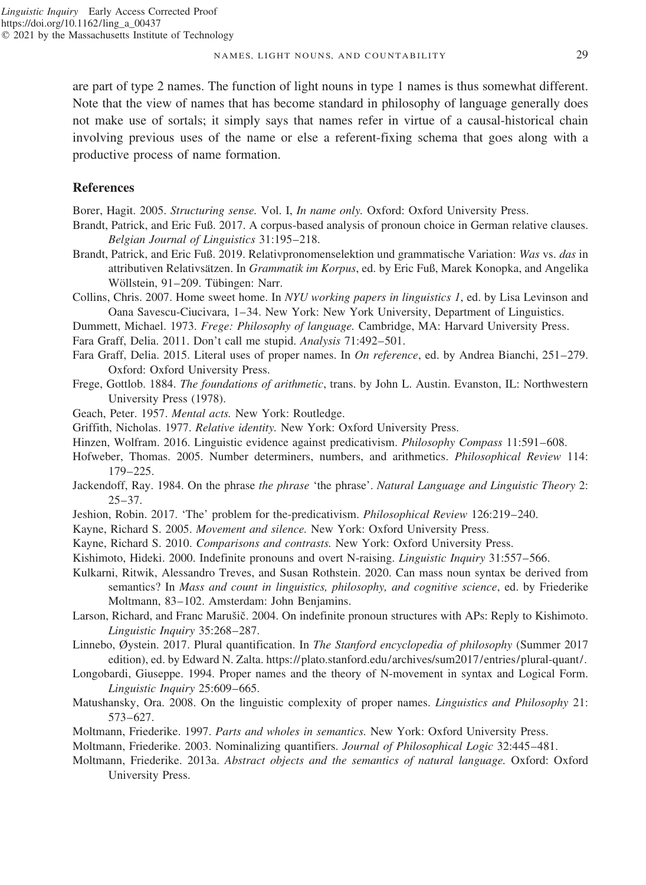NAMES, LIGHT NOUNS, AND COUNTABILITY 29

are part of type 2 names. The function of light nouns in type 1 names is thus somewhat different. Note that the view of names that has become standard in philosophy of language generally does not make use of sortals; it simply says that names refer in virtue of a causal-historical chain involving previous uses of the name or else a referent-fixing schema that goes along with a productive process of name formation.

## **References**

Borer, Hagit. 2005. *Structuring sense.* Vol. I, *In name only.* Oxford: Oxford University Press.

- Brandt, Patrick, and Eric Fuß. 2017. A corpus-based analysis of pronoun choice in German relative clauses. *Belgian Journal of Linguistics* 31:195–218.
- Brandt, Patrick, and Eric Fuß. 2019. Relativpronomenselektion und grammatische Variation: *Was* vs. *das* in attributiven Relativsa¨tzen. In *Grammatik im Korpus*, ed. by Eric Fuß, Marek Konopka, and Angelika Wöllstein, 91–209. Tübingen: Narr.
- Collins, Chris. 2007. Home sweet home. In *NYU working papers in linguistics 1*, ed. by Lisa Levinson and Oana Savescu-Ciucivara, 1–34. New York: New York University, Department of Linguistics.
- Dummett, Michael. 1973. *Frege: Philosophy of language.* Cambridge, MA: Harvard University Press.
- Fara Graff, Delia. 2011. Don't call me stupid. *Analysis* 71:492–501.
- Fara Graff, Delia. 2015. Literal uses of proper names. In *On reference*, ed. by Andrea Bianchi, 251–279. Oxford: Oxford University Press.
- Frege, Gottlob. 1884. *The foundations of arithmetic*, trans. by John L. Austin. Evanston, IL: Northwestern University Press (1978).
- Geach, Peter. 1957. *Mental acts.* New York: Routledge.
- Griffith, Nicholas. 1977. *Relative identity.* New York: Oxford University Press.
- Hinzen, Wolfram. 2016. Linguistic evidence against predicativism. *Philosophy Compass* 11:591–608.
- Hofweber, Thomas. 2005. Number determiners, numbers, and arithmetics. *Philosophical Review* 114: 179–225.
- Jackendoff, Ray. 1984. On the phrase *the phrase* 'the phrase'. *Natural Language and Linguistic Theory* 2:  $25 - 37$ .
- Jeshion, Robin. 2017. 'The' problem for the-predicativism. *Philosophical Review* 126:219–240.
- Kayne, Richard S. 2005. *Movement and silence.* New York: Oxford University Press.
- Kayne, Richard S. 2010. *Comparisons and contrasts.* New York: Oxford University Press.
- Kishimoto, Hideki. 2000. Indefinite pronouns and overt N-raising. *Linguistic Inquiry* 31:557–566.
- Kulkarni, Ritwik, Alessandro Treves, and Susan Rothstein. 2020. Can mass noun syntax be derived from semantics? In *Mass and count in linguistics, philosophy, and cognitive science*, ed. by Friederike Moltmann, 83–102. Amsterdam: John Benjamins.
- Larson, Richard, and Franc Marušič. 2004. On indefinite pronoun structures with APs: Reply to Kishimoto. *Linguistic Inquiry* 35:268–287.
- Linnebo, Øystein. 2017. Plural quantification. In *The Stanford encyclopedia of philosophy* (Summer 2017 edition), ed. by Edward N. Zalta. https://plato.stanford.edu/archives/sum2017/entries/plural-quant/.
- Longobardi, Giuseppe. 1994. Proper names and the theory of N-movement in syntax and Logical Form. *Linguistic Inquiry* 25:609–665.
- Matushansky, Ora. 2008. On the linguistic complexity of proper names. *Linguistics and Philosophy* 21: 573–627.
- Moltmann, Friederike. 1997. *Parts and wholes in semantics.* New York: Oxford University Press.
- Moltmann, Friederike. 2003. Nominalizing quantifiers. *Journal of Philosophical Logic* 32:445–481.
- Moltmann, Friederike. 2013a. *Abstract objects and the semantics of natural language.* Oxford: Oxford University Press.